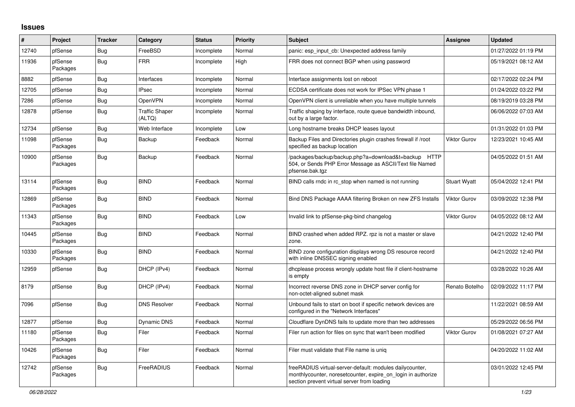## **Issues**

| #     | Project             | <b>Tracker</b> | Category                        | <b>Status</b> | <b>Priority</b> | <b>Subject</b>                                                                                                                                                           | <b>Assignee</b>     | <b>Updated</b>      |
|-------|---------------------|----------------|---------------------------------|---------------|-----------------|--------------------------------------------------------------------------------------------------------------------------------------------------------------------------|---------------------|---------------------|
| 12740 | pfSense             | Bug            | FreeBSD                         | Incomplete    | Normal          | panic: esp input cb: Unexpected address family                                                                                                                           |                     | 01/27/2022 01:19 PM |
| 11936 | pfSense<br>Packages | Bug            | <b>FRR</b>                      | Incomplete    | High            | FRR does not connect BGP when using password                                                                                                                             |                     | 05/19/2021 08:12 AM |
| 8882  | pfSense             | Bug            | Interfaces                      | Incomplete    | Normal          | Interface assignments lost on reboot                                                                                                                                     |                     | 02/17/2022 02:24 PM |
| 12705 | pfSense             | Bug            | <b>IPsec</b>                    | Incomplete    | Normal          | ECDSA certificate does not work for IPSec VPN phase 1                                                                                                                    |                     | 01/24/2022 03:22 PM |
| 7286  | pfSense             | Bug            | OpenVPN                         | Incomplete    | Normal          | OpenVPN client is unreliable when you have multiple tunnels                                                                                                              |                     | 08/19/2019 03:28 PM |
| 12878 | pfSense             | Bug            | <b>Traffic Shaper</b><br>(ALTQ) | Incomplete    | Normal          | Traffic shaping by interface, route queue bandwidth inbound,<br>out by a large factor.                                                                                   |                     | 06/06/2022 07:03 AM |
| 12734 | pfSense             | Bug            | Web Interface                   | Incomplete    | Low             | Long hostname breaks DHCP leases layout                                                                                                                                  |                     | 01/31/2022 01:03 PM |
| 11098 | pfSense<br>Packages | Bug            | Backup                          | Feedback      | Normal          | Backup Files and Directories plugin crashes firewall if /root<br>specified as backup location                                                                            | <b>Viktor Gurov</b> | 12/23/2021 10:45 AM |
| 10900 | pfSense<br>Packages | Bug            | Backup                          | Feedback      | Normal          | /packages/backup/backup.php?a=download&t=backup HTTP<br>504, or Sends PHP Error Message as ASCII/Text file Named<br>pfsense.bak.tgz                                      |                     | 04/05/2022 01:51 AM |
| 13114 | pfSense<br>Packages | Bug            | <b>BIND</b>                     | Feedback      | Normal          | BIND calls rndc in rc stop when named is not running                                                                                                                     | <b>Stuart Wyatt</b> | 05/04/2022 12:41 PM |
| 12869 | pfSense<br>Packages | Bug            | <b>BIND</b>                     | Feedback      | Normal          | Bind DNS Package AAAA filtering Broken on new ZFS Installs                                                                                                               | <b>Viktor Gurov</b> | 03/09/2022 12:38 PM |
| 11343 | pfSense<br>Packages | Bug            | <b>BIND</b>                     | Feedback      | Low             | Invalid link to pfSense-pkg-bind changelog                                                                                                                               | <b>Viktor Gurov</b> | 04/05/2022 08:12 AM |
| 10445 | pfSense<br>Packages | Bug            | <b>BIND</b>                     | Feedback      | Normal          | BIND crashed when added RPZ. rpz is not a master or slave<br>zone.                                                                                                       |                     | 04/21/2022 12:40 PM |
| 10330 | pfSense<br>Packages | Bug            | <b>BIND</b>                     | Feedback      | Normal          | BIND zone configuration displays wrong DS resource record<br>with inline DNSSEC signing enabled                                                                          |                     | 04/21/2022 12:40 PM |
| 12959 | pfSense             | Bug            | DHCP (IPv4)                     | Feedback      | Normal          | dhcplease process wrongly update host file if client-hostname<br>is empty                                                                                                |                     | 03/28/2022 10:26 AM |
| 8179  | pfSense             | Bug            | DHCP (IPv4)                     | Feedback      | Normal          | Incorrect reverse DNS zone in DHCP server config for<br>non-octet-aligned subnet mask                                                                                    | Renato Botelho      | 02/09/2022 11:17 PM |
| 7096  | pfSense             | Bug            | <b>DNS Resolver</b>             | Feedback      | Normal          | Unbound fails to start on boot if specific network devices are<br>configured in the "Network Interfaces"                                                                 |                     | 11/22/2021 08:59 AM |
| 12877 | pfSense             | Bug            | <b>Dynamic DNS</b>              | Feedback      | Normal          | Cloudflare DynDNS fails to update more than two addresses                                                                                                                |                     | 05/29/2022 06:56 PM |
| 11180 | pfSense<br>Packages | Bug            | Filer                           | Feedback      | Normal          | Filer run action for files on sync that wan't been modified                                                                                                              | <b>Viktor Gurov</b> | 01/08/2021 07:27 AM |
| 10426 | pfSense<br>Packages | Bug            | Filer                           | Feedback      | Normal          | Filer must validate that File name is unig                                                                                                                               |                     | 04/20/2022 11:02 AM |
| 12742 | pfSense<br>Packages | Bug            | FreeRADIUS                      | Feedback      | Normal          | freeRADIUS virtual-server-default: modules dailycounter,<br>monthlycounter, noreset counter, expire on login in authorize<br>section prevent virtual server from loading |                     | 03/01/2022 12:45 PM |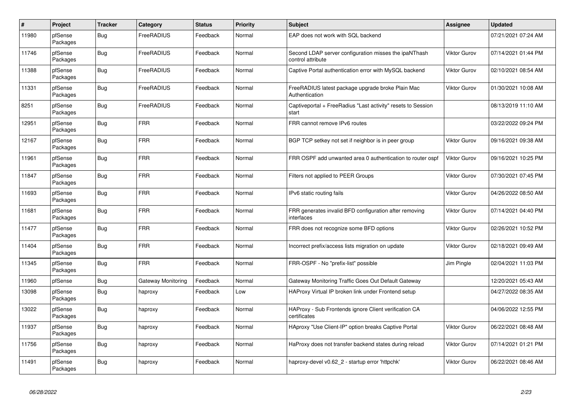| $\sharp$ | Project             | <b>Tracker</b> | Category           | <b>Status</b> | <b>Priority</b> | <b>Subject</b>                                                             | Assignee            | <b>Updated</b>      |
|----------|---------------------|----------------|--------------------|---------------|-----------------|----------------------------------------------------------------------------|---------------------|---------------------|
| 11980    | pfSense<br>Packages | Bug            | FreeRADIUS         | Feedback      | Normal          | EAP does not work with SQL backend                                         |                     | 07/21/2021 07:24 AM |
| 11746    | pfSense<br>Packages | Bug            | FreeRADIUS         | Feedback      | Normal          | Second LDAP server configuration misses the ipaNThash<br>control attribute | Viktor Gurov        | 07/14/2021 01:44 PM |
| 11388    | pfSense<br>Packages | Bug            | FreeRADIUS         | Feedback      | Normal          | Captive Portal authentication error with MySQL backend                     | <b>Viktor Gurov</b> | 02/10/2021 08:54 AM |
| 11331    | pfSense<br>Packages | <b>Bug</b>     | FreeRADIUS         | Feedback      | Normal          | FreeRADIUS latest package upgrade broke Plain Mac<br>Authentication        | <b>Viktor Gurov</b> | 01/30/2021 10:08 AM |
| 8251     | pfSense<br>Packages | <b>Bug</b>     | FreeRADIUS         | Feedback      | Normal          | Captiveportal + FreeRadius "Last activity" resets to Session<br>start      |                     | 08/13/2019 11:10 AM |
| 12951    | pfSense<br>Packages | Bug            | <b>FRR</b>         | Feedback      | Normal          | FRR cannot remove IPv6 routes                                              |                     | 03/22/2022 09:24 PM |
| 12167    | pfSense<br>Packages | Bug            | <b>FRR</b>         | Feedback      | Normal          | BGP TCP setkey not set if neighbor is in peer group                        | <b>Viktor Gurov</b> | 09/16/2021 09:38 AM |
| 11961    | pfSense<br>Packages | Bug            | <b>FRR</b>         | Feedback      | Normal          | FRR OSPF add unwanted area 0 authentication to router ospf                 | <b>Viktor Gurov</b> | 09/16/2021 10:25 PM |
| 11847    | pfSense<br>Packages | <b>Bug</b>     | <b>FRR</b>         | Feedback      | Normal          | Filters not applied to PEER Groups                                         | Viktor Gurov        | 07/30/2021 07:45 PM |
| 11693    | pfSense<br>Packages | Bug            | <b>FRR</b>         | Feedback      | Normal          | IPv6 static routing fails                                                  | <b>Viktor Gurov</b> | 04/26/2022 08:50 AM |
| 11681    | pfSense<br>Packages | Bug            | <b>FRR</b>         | Feedback      | Normal          | FRR generates invalid BFD configuration after removing<br>interfaces       | <b>Viktor Gurov</b> | 07/14/2021 04:40 PM |
| 11477    | pfSense<br>Packages | Bug            | <b>FRR</b>         | Feedback      | Normal          | FRR does not recognize some BFD options                                    | <b>Viktor Gurov</b> | 02/26/2021 10:52 PM |
| 11404    | pfSense<br>Packages | <b>Bug</b>     | <b>FRR</b>         | Feedback      | Normal          | Incorrect prefix/access lists migration on update                          | Viktor Gurov        | 02/18/2021 09:49 AM |
| 11345    | pfSense<br>Packages | Bug            | <b>FRR</b>         | Feedback      | Normal          | FRR-OSPF - No "prefix-list" possible                                       | Jim Pingle          | 02/04/2021 11:03 PM |
| 11960    | pfSense             | Bug            | Gateway Monitoring | Feedback      | Normal          | Gateway Monitoring Traffic Goes Out Default Gateway                        |                     | 12/20/2021 05:43 AM |
| 13098    | pfSense<br>Packages | <b>Bug</b>     | haproxy            | Feedback      | Low             | HAProxy Virtual IP broken link under Frontend setup                        |                     | 04/27/2022 08:35 AM |
| 13022    | pfSense<br>Packages | <b>Bug</b>     | haproxy            | Feedback      | Normal          | HAProxy - Sub Frontends ignore Client verification CA<br>certificates      |                     | 04/06/2022 12:55 PM |
| 11937    | pfSense<br>Packages | Bug            | haproxy            | Feedback      | Normal          | HAproxy "Use Client-IP" option breaks Captive Portal                       | <b>Viktor Gurov</b> | 06/22/2021 08:48 AM |
| 11756    | pfSense<br>Packages | Bug            | haproxy            | Feedback      | Normal          | HaProxy does not transfer backend states during reload                     | <b>Viktor Gurov</b> | 07/14/2021 01:21 PM |
| 11491    | pfSense<br>Packages | <b>Bug</b>     | haproxy            | Feedback      | Normal          | haproxy-devel v0.62_2 - startup error 'httpchk'                            | Viktor Gurov        | 06/22/2021 08:46 AM |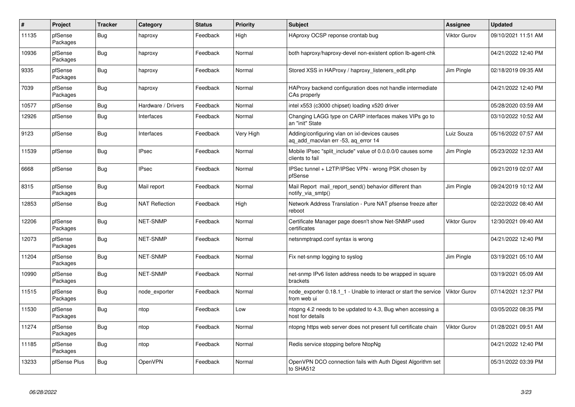| $\vert$ # | Project             | <b>Tracker</b> | Category              | <b>Status</b> | <b>Priority</b> | <b>Subject</b>                                                                       | Assignee            | <b>Updated</b>      |
|-----------|---------------------|----------------|-----------------------|---------------|-----------------|--------------------------------------------------------------------------------------|---------------------|---------------------|
| 11135     | pfSense<br>Packages | <b>Bug</b>     | haproxy               | Feedback      | High            | HAproxy OCSP reponse crontab bug                                                     | <b>Viktor Gurov</b> | 09/10/2021 11:51 AM |
| 10936     | pfSense<br>Packages | Bug            | haproxy               | Feedback      | Normal          | both haproxy/haproxy-devel non-existent option Ib-agent-chk                          |                     | 04/21/2022 12:40 PM |
| 9335      | pfSense<br>Packages | Bug            | haproxy               | Feedback      | Normal          | Stored XSS in HAProxy / haproxy listeners edit.php                                   | Jim Pingle          | 02/18/2019 09:35 AM |
| 7039      | pfSense<br>Packages | <b>Bug</b>     | haproxy               | Feedback      | Normal          | HAProxy backend configuration does not handle intermediate<br>CAs properly           |                     | 04/21/2022 12:40 PM |
| 10577     | pfSense             | <b>Bug</b>     | Hardware / Drivers    | Feedback      | Normal          | intel x553 (c3000 chipset) loading x520 driver                                       |                     | 05/28/2020 03:59 AM |
| 12926     | pfSense             | <b>Bug</b>     | Interfaces            | Feedback      | Normal          | Changing LAGG type on CARP interfaces makes VIPs go to<br>an "init" State            |                     | 03/10/2022 10:52 AM |
| 9123      | pfSense             | <b>Bug</b>     | Interfaces            | Feedback      | Very High       | Adding/configuring vlan on ixl-devices causes<br>ag add macylan err -53, ag error 14 | Luiz Souza          | 05/16/2022 07:57 AM |
| 11539     | pfSense             | <b>Bug</b>     | <b>IPsec</b>          | Feedback      | Normal          | Mobile IPsec "split include" value of 0.0.0.0/0 causes some<br>clients to fail       | Jim Pingle          | 05/23/2022 12:33 AM |
| 6668      | pfSense             | Bug            | <b>IPsec</b>          | Feedback      | Normal          | IPSec tunnel + L2TP/IPSec VPN - wrong PSK chosen by<br>pfSense                       |                     | 09/21/2019 02:07 AM |
| 8315      | pfSense<br>Packages | Bug            | Mail report           | Feedback      | Normal          | Mail Report mail report send() behavior different than<br>notify_via_smtp()          | Jim Pingle          | 09/24/2019 10:12 AM |
| 12853     | pfSense             | Bug            | <b>NAT Reflection</b> | Feedback      | High            | Network Address Translation - Pure NAT pfsense freeze after<br>reboot                |                     | 02/22/2022 08:40 AM |
| 12206     | pfSense<br>Packages | Bug            | NET-SNMP              | Feedback      | Normal          | Certificate Manager page doesn't show Net-SNMP used<br>certificates                  | <b>Viktor Gurov</b> | 12/30/2021 09:40 AM |
| 12073     | pfSense<br>Packages | Bug            | NET-SNMP              | Feedback      | Normal          | netsnmptrapd.conf syntax is wrong                                                    |                     | 04/21/2022 12:40 PM |
| 11204     | pfSense<br>Packages | Bug            | NET-SNMP              | Feedback      | Normal          | Fix net-snmp logging to syslog                                                       | Jim Pingle          | 03/19/2021 05:10 AM |
| 10990     | pfSense<br>Packages | <b>Bug</b>     | <b>NET-SNMP</b>       | Feedback      | Normal          | net-snmp IPv6 listen address needs to be wrapped in square<br>brackets               |                     | 03/19/2021 05:09 AM |
| 11515     | pfSense<br>Packages | Bug            | node_exporter         | Feedback      | Normal          | node exporter 0.18.1 1 - Unable to interact or start the service<br>from web ui      | <b>Viktor Gurov</b> | 07/14/2021 12:37 PM |
| 11530     | pfSense<br>Packages | <b>Bug</b>     | ntop                  | Feedback      | Low             | ntopng 4.2 needs to be updated to 4.3, Bug when accessing a<br>host for details      |                     | 03/05/2022 08:35 PM |
| 11274     | pfSense<br>Packages | Bug            | ntop                  | Feedback      | Normal          | ntopng https web server does not present full certificate chain                      | <b>Viktor Gurov</b> | 01/28/2021 09:51 AM |
| 11185     | pfSense<br>Packages | <b>Bug</b>     | ntop                  | Feedback      | Normal          | Redis service stopping before NtopNg                                                 |                     | 04/21/2022 12:40 PM |
| 13233     | pfSense Plus        | <b>Bug</b>     | OpenVPN               | Feedback      | Normal          | OpenVPN DCO connection fails with Auth Digest Algorithm set<br>to SHA512             |                     | 05/31/2022 03:39 PM |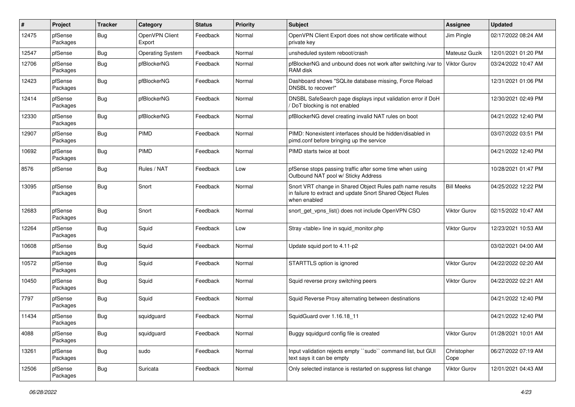| $\pmb{\#}$ | Project             | <b>Tracker</b> | Category                 | <b>Status</b> | <b>Priority</b> | <b>Subject</b>                                                                                                                          | <b>Assignee</b>     | <b>Updated</b>      |
|------------|---------------------|----------------|--------------------------|---------------|-----------------|-----------------------------------------------------------------------------------------------------------------------------------------|---------------------|---------------------|
| 12475      | pfSense<br>Packages | Bug            | OpenVPN Client<br>Export | Feedback      | Normal          | OpenVPN Client Export does not show certificate without<br>private key                                                                  | Jim Pingle          | 02/17/2022 08:24 AM |
| 12547      | pfSense             | Bug            | <b>Operating System</b>  | Feedback      | Normal          | unsheduled system reboot/crash                                                                                                          | Mateusz Guzik       | 12/01/2021 01:20 PM |
| 12706      | pfSense<br>Packages | Bug            | pfBlockerNG              | Feedback      | Normal          | pfBlockerNG and unbound does not work after switching /var to<br>RAM disk                                                               | <b>Viktor Gurov</b> | 03/24/2022 10:47 AM |
| 12423      | pfSense<br>Packages | Bug            | pfBlockerNG              | Feedback      | Normal          | Dashboard shows "SQLite database missing, Force Reload<br>DNSBL to recover!"                                                            |                     | 12/31/2021 01:06 PM |
| 12414      | pfSense<br>Packages | Bug            | pfBlockerNG              | Feedback      | Normal          | DNSBL SafeSearch page displays input validation error if DoH<br>DoT blocking is not enabled                                             |                     | 12/30/2021 02:49 PM |
| 12330      | pfSense<br>Packages | Bug            | pfBlockerNG              | Feedback      | Normal          | pfBlockerNG devel creating invalid NAT rules on boot                                                                                    |                     | 04/21/2022 12:40 PM |
| 12907      | pfSense<br>Packages | Bug            | PIMD                     | Feedback      | Normal          | PIMD: Nonexistent interfaces should be hidden/disabled in<br>pimd.conf before bringing up the service                                   |                     | 03/07/2022 03:51 PM |
| 10692      | pfSense<br>Packages | Bug            | PIMD                     | Feedback      | Normal          | PIMD starts twice at boot                                                                                                               |                     | 04/21/2022 12:40 PM |
| 8576       | pfSense             | Bug            | Rules / NAT              | Feedback      | Low             | pfSense stops passing traffic after some time when using<br>Outbound NAT pool w/ Sticky Address                                         |                     | 10/28/2021 01:47 PM |
| 13095      | pfSense<br>Packages | Bug            | Snort                    | Feedback      | Normal          | Snort VRT change in Shared Object Rules path name results<br>in failure to extract and update Snort Shared Object Rules<br>when enabled | <b>Bill Meeks</b>   | 04/25/2022 12:22 PM |
| 12683      | pfSense<br>Packages | Bug            | Snort                    | Feedback      | Normal          | snort_get_vpns_list() does not include OpenVPN CSO                                                                                      | Viktor Gurov        | 02/15/2022 10:47 AM |
| 12264      | pfSense<br>Packages | Bug            | Squid                    | Feedback      | Low             | Stray <table> line in squid monitor.php</table>                                                                                         | Viktor Gurov        | 12/23/2021 10:53 AM |
| 10608      | pfSense<br>Packages | Bug            | Squid                    | Feedback      | Normal          | Update squid port to 4.11-p2                                                                                                            |                     | 03/02/2021 04:00 AM |
| 10572      | pfSense<br>Packages | <b>Bug</b>     | Squid                    | Feedback      | Normal          | STARTTLS option is ignored                                                                                                              | Viktor Gurov        | 04/22/2022 02:20 AM |
| 10450      | pfSense<br>Packages | Bug            | Squid                    | Feedback      | Normal          | Squid reverse proxy switching peers                                                                                                     | <b>Viktor Gurov</b> | 04/22/2022 02:21 AM |
| 7797       | pfSense<br>Packages | Bug            | Squid                    | Feedback      | Normal          | Squid Reverse Proxy alternating between destinations                                                                                    |                     | 04/21/2022 12:40 PM |
| 11434      | pfSense<br>Packages | Bug            | squidguard               | Feedback      | Normal          | SquidGuard over 1.16.18_11                                                                                                              |                     | 04/21/2022 12:40 PM |
| 4088       | pfSense<br>Packages | <b>Bug</b>     | squidguard               | Feedback      | Normal          | Buggy squidgurd config file is created                                                                                                  | Viktor Gurov        | 01/28/2021 10:01 AM |
| 13261      | pfSense<br>Packages | <b>Bug</b>     | sudo                     | Feedback      | Normal          | Input validation rejects empty "sudo" command list, but GUI<br>text says it can be empty                                                | Christopher<br>Cope | 06/27/2022 07:19 AM |
| 12506      | pfSense<br>Packages | <b>Bug</b>     | Suricata                 | Feedback      | Normal          | Only selected instance is restarted on suppress list change                                                                             | Viktor Gurov        | 12/01/2021 04:43 AM |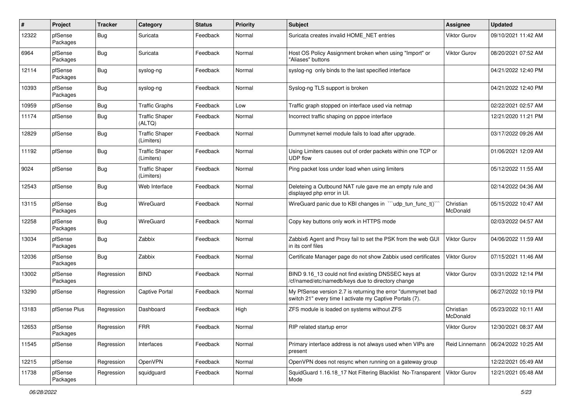| #     | Project             | <b>Tracker</b> | Category                            | <b>Status</b> | <b>Priority</b> | <b>Subject</b>                                                                                                          | <b>Assignee</b>       | <b>Updated</b>      |
|-------|---------------------|----------------|-------------------------------------|---------------|-----------------|-------------------------------------------------------------------------------------------------------------------------|-----------------------|---------------------|
| 12322 | pfSense<br>Packages | Bug            | Suricata                            | Feedback      | Normal          | Suricata creates invalid HOME_NET entries                                                                               | <b>Viktor Gurov</b>   | 09/10/2021 11:42 AM |
| 6964  | pfSense<br>Packages | Bug            | Suricata                            | Feedback      | Normal          | Host OS Policy Assignment broken when using "Import" or<br>"Aliases" buttons                                            | <b>Viktor Gurov</b>   | 08/20/2021 07:52 AM |
| 12114 | pfSense<br>Packages | Bug            | syslog-ng                           | Feedback      | Normal          | syslog-ng only binds to the last specified interface                                                                    |                       | 04/21/2022 12:40 PM |
| 10393 | pfSense<br>Packages | Bug            | syslog-ng                           | Feedback      | Normal          | Syslog-ng TLS support is broken                                                                                         |                       | 04/21/2022 12:40 PM |
| 10959 | pfSense             | Bug            | <b>Traffic Graphs</b>               | Feedback      | Low             | Traffic graph stopped on interface used via netmap                                                                      |                       | 02/22/2021 02:57 AM |
| 11174 | pfSense             | Bug            | <b>Traffic Shaper</b><br>(ALTQ)     | Feedback      | Normal          | Incorrect traffic shaping on pppoe interface                                                                            |                       | 12/21/2020 11:21 PM |
| 12829 | pfSense             | Bug            | <b>Traffic Shaper</b><br>(Limiters) | Feedback      | Normal          | Dummynet kernel module fails to load after upgrade.                                                                     |                       | 03/17/2022 09:26 AM |
| 11192 | pfSense             | Bug            | <b>Traffic Shaper</b><br>(Limiters) | Feedback      | Normal          | Using Limiters causes out of order packets within one TCP or<br><b>UDP flow</b>                                         |                       | 01/06/2021 12:09 AM |
| 9024  | pfSense             | Bug            | <b>Traffic Shaper</b><br>(Limiters) | Feedback      | Normal          | Ping packet loss under load when using limiters                                                                         |                       | 05/12/2022 11:55 AM |
| 12543 | pfSense             | Bug            | Web Interface                       | Feedback      | Normal          | Deleteing a Outbound NAT rule gave me an empty rule and<br>displayed php error in UI.                                   |                       | 02/14/2022 04:36 AM |
| 13115 | pfSense<br>Packages | Bug            | WireGuard                           | Feedback      | Normal          | WireGuard panic due to KBI changes in "'udp_tun_func_t()                                                                | Christian<br>McDonald | 05/15/2022 10:47 AM |
| 12258 | pfSense<br>Packages | <b>Bug</b>     | WireGuard                           | Feedback      | Normal          | Copy key buttons only work in HTTPS mode                                                                                |                       | 02/03/2022 04:57 AM |
| 13034 | pfSense<br>Packages | Bug            | Zabbix                              | Feedback      | Normal          | Zabbix6 Agent and Proxy fail to set the PSK from the web GUI<br>in its conf files                                       | <b>Viktor Gurov</b>   | 04/06/2022 11:59 AM |
| 12036 | pfSense<br>Packages | Bug            | Zabbix                              | Feedback      | Normal          | Certificate Manager page do not show Zabbix used certificates                                                           | <b>Viktor Gurov</b>   | 07/15/2021 11:46 AM |
| 13002 | pfSense<br>Packages | Regression     | <b>BIND</b>                         | Feedback      | Normal          | BIND 9.16_13 could not find existing DNSSEC keys at<br>/cf/named/etc/namedb/keys due to directory change                | Viktor Gurov          | 03/31/2022 12:14 PM |
| 13290 | pfSense             | Regression     | Captive Portal                      | Feedback      | Normal          | My PfSense version 2.7 is returning the error "dummynet bad<br>switch 21" every time I activate my Captive Portals (7). |                       | 06/27/2022 10:19 PM |
| 13183 | pfSense Plus        | Regression     | Dashboard                           | Feedback      | High            | ZFS module is loaded on systems without ZFS                                                                             | Christian<br>McDonald | 05/23/2022 10:11 AM |
| 12653 | pfSense<br>Packages | Regression     | <b>FRR</b>                          | Feedback      | Normal          | RIP related startup error                                                                                               | Viktor Gurov          | 12/30/2021 08:37 AM |
| 11545 | pfSense             | Regression     | Interfaces                          | Feedback      | Normal          | Primary interface address is not always used when VIPs are<br>present                                                   | Reid Linnemann        | 06/24/2022 10:25 AM |
| 12215 | pfSense             | Regression     | OpenVPN                             | Feedback      | Normal          | OpenVPN does not resync when running on a gateway group                                                                 |                       | 12/22/2021 05:49 AM |
| 11738 | pfSense<br>Packages | Regression     | squidguard                          | Feedback      | Normal          | SquidGuard 1.16.18_17 Not Filtering Blacklist No-Transparent<br>Mode                                                    | Viktor Gurov          | 12/21/2021 05:48 AM |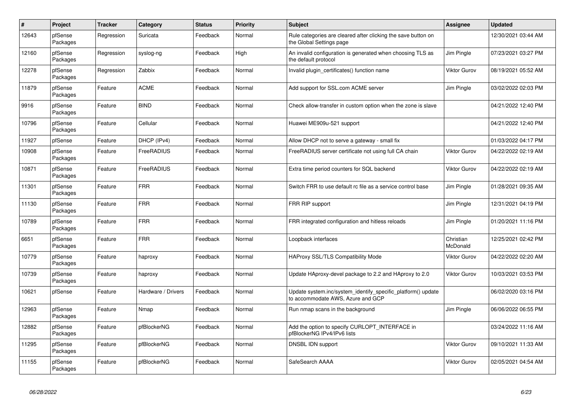| $\sharp$ | <b>Project</b>      | <b>Tracker</b> | Category           | <b>Status</b> | <b>Priority</b> | <b>Subject</b>                                                                                    | Assignee              | <b>Updated</b>      |
|----------|---------------------|----------------|--------------------|---------------|-----------------|---------------------------------------------------------------------------------------------------|-----------------------|---------------------|
| 12643    | pfSense<br>Packages | Regression     | Suricata           | Feedback      | Normal          | Rule categories are cleared after clicking the save button on<br>the Global Settings page         |                       | 12/30/2021 03:44 AM |
| 12160    | pfSense<br>Packages | Regression     | syslog-ng          | Feedback      | High            | An invalid configuration is generated when choosing TLS as<br>the default protocol                | Jim Pingle            | 07/23/2021 03:27 PM |
| 12278    | pfSense<br>Packages | Regression     | Zabbix             | Feedback      | Normal          | Invalid plugin certificates() function name                                                       | <b>Viktor Gurov</b>   | 08/19/2021 05:52 AM |
| 11879    | pfSense<br>Packages | Feature        | <b>ACME</b>        | Feedback      | Normal          | Add support for SSL.com ACME server                                                               | Jim Pingle            | 03/02/2022 02:03 PM |
| 9916     | pfSense<br>Packages | Feature        | <b>BIND</b>        | Feedback      | Normal          | Check allow-transfer in custom option when the zone is slave                                      |                       | 04/21/2022 12:40 PM |
| 10796    | pfSense<br>Packages | Feature        | Cellular           | Feedback      | Normal          | Huawei ME909u-521 support                                                                         |                       | 04/21/2022 12:40 PM |
| 11927    | pfSense             | Feature        | DHCP (IPv4)        | Feedback      | Normal          | Allow DHCP not to serve a gateway - small fix                                                     |                       | 01/03/2022 04:17 PM |
| 10908    | pfSense<br>Packages | Feature        | FreeRADIUS         | Feedback      | Normal          | FreeRADIUS server certificate not using full CA chain                                             | <b>Viktor Gurov</b>   | 04/22/2022 02:19 AM |
| 10871    | pfSense<br>Packages | Feature        | <b>FreeRADIUS</b>  | Feedback      | Normal          | Extra time period counters for SQL backend                                                        | <b>Viktor Gurov</b>   | 04/22/2022 02:19 AM |
| 11301    | pfSense<br>Packages | Feature        | <b>FRR</b>         | Feedback      | Normal          | Switch FRR to use default rc file as a service control base                                       | Jim Pingle            | 01/28/2021 09:35 AM |
| 11130    | pfSense<br>Packages | Feature        | <b>FRR</b>         | Feedback      | Normal          | FRR RIP support                                                                                   | Jim Pingle            | 12/31/2021 04:19 PM |
| 10789    | pfSense<br>Packages | Feature        | <b>FRR</b>         | Feedback      | Normal          | FRR integrated configuration and hitless reloads                                                  | Jim Pingle            | 01/20/2021 11:16 PM |
| 6651     | pfSense<br>Packages | Feature        | <b>FRR</b>         | Feedback      | Normal          | Loopback interfaces                                                                               | Christian<br>McDonald | 12/25/2021 02:42 PM |
| 10779    | pfSense<br>Packages | Feature        | haproxy            | Feedback      | Normal          | <b>HAProxy SSL/TLS Compatibility Mode</b>                                                         | Viktor Gurov          | 04/22/2022 02:20 AM |
| 10739    | pfSense<br>Packages | Feature        | haproxy            | Feedback      | Normal          | Update HAproxy-devel package to 2.2 and HAproxy to 2.0                                            | <b>Viktor Gurov</b>   | 10/03/2021 03:53 PM |
| 10621    | pfSense             | Feature        | Hardware / Drivers | Feedback      | Normal          | Update system.inc/system_identify_specific_platform() update<br>to accommodate AWS, Azure and GCP |                       | 06/02/2020 03:16 PM |
| 12963    | pfSense<br>Packages | Feature        | Nmap               | Feedback      | Normal          | Run nmap scans in the background                                                                  | Jim Pingle            | 06/06/2022 06:55 PM |
| 12882    | pfSense<br>Packages | Feature        | pfBlockerNG        | Feedback      | Normal          | Add the option to specify CURLOPT_INTERFACE in<br>pfBlockerNG IPv4/IPv6 lists                     |                       | 03/24/2022 11:16 AM |
| 11295    | pfSense<br>Packages | Feature        | pfBlockerNG        | Feedback      | Normal          | DNSBL IDN support                                                                                 | <b>Viktor Gurov</b>   | 09/10/2021 11:33 AM |
| 11155    | pfSense<br>Packages | Feature        | pfBlockerNG        | Feedback      | Normal          | SafeSearch AAAA                                                                                   | <b>Viktor Gurov</b>   | 02/05/2021 04:54 AM |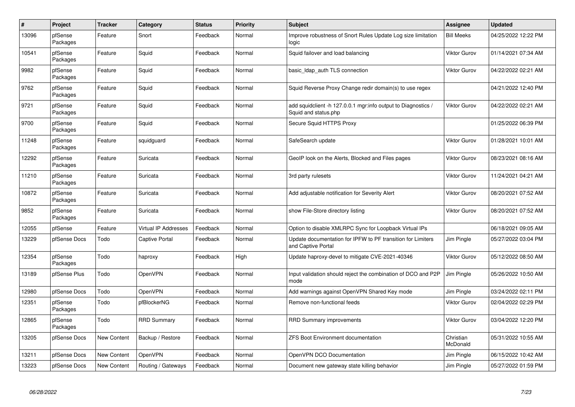| $\pmb{\#}$ | <b>Project</b>      | <b>Tracker</b> | Category                    | <b>Status</b> | <b>Priority</b> | <b>Subject</b>                                                                        | Assignee              | <b>Updated</b>      |
|------------|---------------------|----------------|-----------------------------|---------------|-----------------|---------------------------------------------------------------------------------------|-----------------------|---------------------|
| 13096      | pfSense<br>Packages | Feature        | Snort                       | Feedback      | Normal          | Improve robustness of Snort Rules Update Log size limitation<br>logic                 | <b>Bill Meeks</b>     | 04/25/2022 12:22 PM |
| 10541      | pfSense<br>Packages | Feature        | Squid                       | Feedback      | Normal          | Squid failover and load balancing                                                     | <b>Viktor Gurov</b>   | 01/14/2021 07:34 AM |
| 9982       | pfSense<br>Packages | Feature        | Squid                       | Feedback      | Normal          | basic Idap auth TLS connection                                                        | <b>Viktor Gurov</b>   | 04/22/2022 02:21 AM |
| 9762       | pfSense<br>Packages | Feature        | Squid                       | Feedback      | Normal          | Squid Reverse Proxy Change redir domain(s) to use regex                               |                       | 04/21/2022 12:40 PM |
| 9721       | pfSense<br>Packages | Feature        | Squid                       | Feedback      | Normal          | add squidclient -h 127.0.0.1 mgr:info output to Diagnostics /<br>Squid and status.php | <b>Viktor Gurov</b>   | 04/22/2022 02:21 AM |
| 9700       | pfSense<br>Packages | Feature        | Squid                       | Feedback      | Normal          | Secure Squid HTTPS Proxy                                                              |                       | 01/25/2022 06:39 PM |
| 11248      | pfSense<br>Packages | Feature        | squidguard                  | Feedback      | Normal          | SafeSearch update                                                                     | <b>Viktor Gurov</b>   | 01/28/2021 10:01 AM |
| 12292      | pfSense<br>Packages | Feature        | Suricata                    | Feedback      | Normal          | GeoIP look on the Alerts, Blocked and Files pages                                     | <b>Viktor Gurov</b>   | 08/23/2021 08:16 AM |
| 11210      | pfSense<br>Packages | Feature        | Suricata                    | Feedback      | Normal          | 3rd party rulesets                                                                    | <b>Viktor Gurov</b>   | 11/24/2021 04:21 AM |
| 10872      | pfSense<br>Packages | Feature        | Suricata                    | Feedback      | Normal          | Add adjustable notification for Severity Alert                                        | <b>Viktor Gurov</b>   | 08/20/2021 07:52 AM |
| 9852       | pfSense<br>Packages | Feature        | Suricata                    | Feedback      | Normal          | show File-Store directory listing                                                     | <b>Viktor Gurov</b>   | 08/20/2021 07:52 AM |
| 12055      | pfSense             | Feature        | <b>Virtual IP Addresses</b> | Feedback      | Normal          | Option to disable XMLRPC Sync for Loopback Virtual IPs                                |                       | 06/18/2021 09:05 AM |
| 13229      | pfSense Docs        | Todo           | <b>Captive Portal</b>       | Feedback      | Normal          | Update documentation for IPFW to PF transition for Limiters<br>and Captive Portal     | Jim Pingle            | 05/27/2022 03:04 PM |
| 12354      | pfSense<br>Packages | Todo           | haproxy                     | Feedback      | High            | Update haproxy-devel to mitigate CVE-2021-40346                                       | <b>Viktor Gurov</b>   | 05/12/2022 08:50 AM |
| 13189      | pfSense Plus        | Todo           | <b>OpenVPN</b>              | Feedback      | Normal          | Input validation should reject the combination of DCO and P2P<br>mode                 | Jim Pingle            | 05/26/2022 10:50 AM |
| 12980      | pfSense Docs        | Todo           | OpenVPN                     | Feedback      | Normal          | Add warnings against OpenVPN Shared Key mode                                          | Jim Pingle            | 03/24/2022 02:11 PM |
| 12351      | pfSense<br>Packages | Todo           | pfBlockerNG                 | Feedback      | Normal          | Remove non-functional feeds                                                           | Viktor Gurov          | 02/04/2022 02:29 PM |
| 12865      | pfSense<br>Packages | Todo           | <b>RRD Summary</b>          | Feedback      | Normal          | RRD Summary improvements                                                              | <b>Viktor Gurov</b>   | 03/04/2022 12:20 PM |
| 13205      | pfSense Docs        | New Content    | Backup / Restore            | Feedback      | Normal          | <b>ZFS Boot Environment documentation</b>                                             | Christian<br>McDonald | 05/31/2022 10:55 AM |
| 13211      | pfSense Docs        | New Content    | <b>OpenVPN</b>              | Feedback      | Normal          | OpenVPN DCO Documentation                                                             | Jim Pingle            | 06/15/2022 10:42 AM |
| 13223      | pfSense Docs        | New Content    | Routing / Gateways          | Feedback      | Normal          | Document new gateway state killing behavior                                           | Jim Pingle            | 05/27/2022 01:59 PM |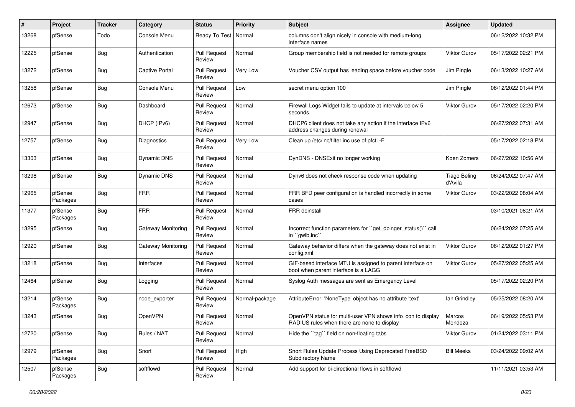| ∦     | Project             | <b>Tracker</b> | Category              | <b>Status</b>                 | <b>Priority</b> | <b>Subject</b>                                                                                              | Assignee                       | <b>Updated</b>      |
|-------|---------------------|----------------|-----------------------|-------------------------------|-----------------|-------------------------------------------------------------------------------------------------------------|--------------------------------|---------------------|
| 13268 | pfSense             | Todo           | Console Menu          | Ready To Test                 | Normal          | columns don't align nicely in console with medium-long<br>interface names                                   |                                | 06/12/2022 10:32 PM |
| 12225 | pfSense             | Bug            | Authentication        | <b>Pull Request</b><br>Review | Normal          | Group membership field is not needed for remote groups                                                      | <b>Viktor Gurov</b>            | 05/17/2022 02:21 PM |
| 13272 | pfSense             | Bug            | <b>Captive Portal</b> | <b>Pull Request</b><br>Review | Very Low        | Voucher CSV output has leading space before voucher code                                                    | Jim Pingle                     | 06/13/2022 10:27 AM |
| 13258 | pfSense             | Bug            | Console Menu          | <b>Pull Request</b><br>Review | Low             | secret menu option 100                                                                                      | Jim Pingle                     | 06/12/2022 01:44 PM |
| 12673 | pfSense             | Bug            | Dashboard             | <b>Pull Request</b><br>Review | Normal          | Firewall Logs Widget fails to update at intervals below 5<br>seconds.                                       | Viktor Gurov                   | 05/17/2022 02:20 PM |
| 12947 | pfSense             | <b>Bug</b>     | DHCP (IPv6)           | <b>Pull Request</b><br>Review | Normal          | DHCP6 client does not take any action if the interface IPv6<br>address changes during renewal               |                                | 06/27/2022 07:31 AM |
| 12757 | pfSense             | Bug            | Diagnostics           | <b>Pull Request</b><br>Review | Very Low        | Clean up /etc/inc/filter.inc use of pfctl -F                                                                |                                | 05/17/2022 02:18 PM |
| 13303 | pfSense             | Bug            | <b>Dynamic DNS</b>    | <b>Pull Request</b><br>Review | Normal          | DynDNS - DNSExit no longer working                                                                          | Koen Zomers                    | 06/27/2022 10:56 AM |
| 13298 | pfSense             | Bug            | Dynamic DNS           | <b>Pull Request</b><br>Review | Normal          | Dynv6 does not check response code when updating                                                            | <b>Tiago Beling</b><br>d'Avila | 06/24/2022 07:47 AM |
| 12965 | pfSense<br>Packages | Bug            | <b>FRR</b>            | <b>Pull Request</b><br>Review | Normal          | FRR BFD peer configuration is handled incorrectly in some<br>cases                                          | <b>Viktor Gurov</b>            | 03/22/2022 08:04 AM |
| 11377 | pfSense<br>Packages | Bug            | <b>FRR</b>            | <b>Pull Request</b><br>Review | Normal          | <b>FRR</b> deinstall                                                                                        |                                | 03/10/2021 08:21 AM |
| 13295 | pfSense             | Bug            | Gateway Monitoring    | <b>Pull Request</b><br>Review | Normal          | Incorrect function parameters for "get_dpinger_status()" call<br>in `gwlb.inc`                              |                                | 06/24/2022 07:25 AM |
| 12920 | pfSense             | <b>Bug</b>     | Gateway Monitoring    | <b>Pull Request</b><br>Review | Normal          | Gateway behavior differs when the gateway does not exist in<br>config.xml                                   | Viktor Gurov                   | 06/12/2022 01:27 PM |
| 13218 | pfSense             | Bug            | Interfaces            | <b>Pull Request</b><br>Review | Normal          | GIF-based interface MTU is assigned to parent interface on<br>boot when parent interface is a LAGG          | Viktor Gurov                   | 05/27/2022 05:25 AM |
| 12464 | pfSense             | Bug            | Logging               | <b>Pull Request</b><br>Review | Normal          | Syslog Auth messages are sent as Emergency Level                                                            |                                | 05/17/2022 02:20 PM |
| 13214 | pfSense<br>Packages | Bug            | node_exporter         | <b>Pull Request</b><br>Review | Normal-package  | AttributeError: 'NoneType' object has no attribute 'text'                                                   | lan Grindley                   | 05/25/2022 08:20 AM |
| 13243 | pfSense             | <b>Bug</b>     | OpenVPN               | <b>Pull Request</b><br>Review | Normal          | OpenVPN status for multi-user VPN shows info icon to display<br>RADIUS rules when there are none to display | Marcos<br>Mendoza              | 06/19/2022 05:53 PM |
| 12720 | pfSense             | <b>Bug</b>     | Rules / NAT           | <b>Pull Request</b><br>Review | Normal          | Hide the "tag" field on non-floating tabs                                                                   | Viktor Gurov                   | 01/24/2022 03:11 PM |
| 12979 | pfSense<br>Packages | Bug            | Snort                 | <b>Pull Request</b><br>Review | High            | Snort Rules Update Process Using Deprecated FreeBSD<br>Subdirectory Name                                    | <b>Bill Meeks</b>              | 03/24/2022 09:02 AM |
| 12507 | pfSense<br>Packages | <b>Bug</b>     | softflowd             | <b>Pull Request</b><br>Review | Normal          | Add support for bi-directional flows in softflowd                                                           |                                | 11/11/2021 03:53 AM |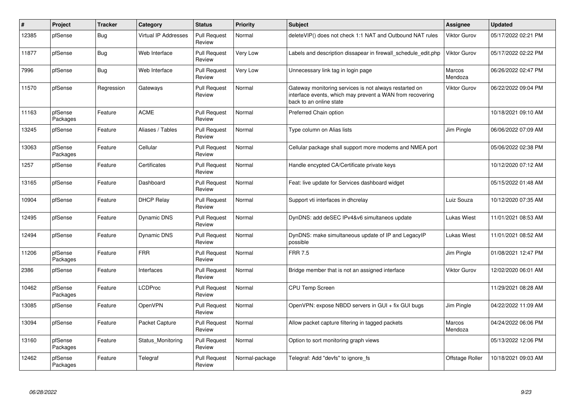| #     | <b>Project</b>      | <b>Tracker</b> | Category                    | <b>Status</b>                 | <b>Priority</b> | <b>Subject</b>                                                                                                                                 | <b>Assignee</b>     | <b>Updated</b>      |
|-------|---------------------|----------------|-----------------------------|-------------------------------|-----------------|------------------------------------------------------------------------------------------------------------------------------------------------|---------------------|---------------------|
| 12385 | pfSense             | <b>Bug</b>     | <b>Virtual IP Addresses</b> | <b>Pull Request</b><br>Review | Normal          | deleteVIP() does not check 1:1 NAT and Outbound NAT rules                                                                                      | <b>Viktor Gurov</b> | 05/17/2022 02:21 PM |
| 11877 | pfSense             | Bug            | Web Interface               | <b>Pull Request</b><br>Review | Very Low        | Labels and description dissapear in firewall schedule edit.php                                                                                 | Viktor Gurov        | 05/17/2022 02:22 PM |
| 7996  | pfSense             | Bug            | Web Interface               | <b>Pull Request</b><br>Review | Very Low        | Unnecessary link tag in login page                                                                                                             | Marcos<br>Mendoza   | 06/26/2022 02:47 PM |
| 11570 | pfSense             | Regression     | Gateways                    | <b>Pull Request</b><br>Review | Normal          | Gateway monitoring services is not always restarted on<br>interface events, which may prevent a WAN from recovering<br>back to an online state | <b>Viktor Gurov</b> | 06/22/2022 09:04 PM |
| 11163 | pfSense<br>Packages | Feature        | <b>ACME</b>                 | <b>Pull Request</b><br>Review | Normal          | Preferred Chain option                                                                                                                         |                     | 10/18/2021 09:10 AM |
| 13245 | pfSense             | Feature        | Aliases / Tables            | <b>Pull Request</b><br>Review | Normal          | Type column on Alias lists                                                                                                                     | Jim Pingle          | 06/06/2022 07:09 AM |
| 13063 | pfSense<br>Packages | Feature        | Cellular                    | <b>Pull Request</b><br>Review | Normal          | Cellular package shall support more modems and NMEA port                                                                                       |                     | 05/06/2022 02:38 PM |
| 1257  | pfSense             | Feature        | Certificates                | <b>Pull Request</b><br>Review | Normal          | Handle encypted CA/Certificate private keys                                                                                                    |                     | 10/12/2020 07:12 AM |
| 13165 | pfSense             | Feature        | Dashboard                   | <b>Pull Request</b><br>Review | Normal          | Feat: live update for Services dashboard widget                                                                                                |                     | 05/15/2022 01:48 AM |
| 10904 | pfSense             | Feature        | <b>DHCP Relay</b>           | <b>Pull Request</b><br>Review | Normal          | Support vti interfaces in dhcrelay                                                                                                             | Luiz Souza          | 10/12/2020 07:35 AM |
| 12495 | pfSense             | Feature        | <b>Dynamic DNS</b>          | <b>Pull Request</b><br>Review | Normal          | DynDNS: add deSEC IPv4&v6 simultaneos update                                                                                                   | Lukas Wiest         | 11/01/2021 08:53 AM |
| 12494 | pfSense             | Feature        | Dynamic DNS                 | <b>Pull Request</b><br>Review | Normal          | DynDNS: make simultaneous update of IP and LegacyIP<br>possible                                                                                | <b>Lukas Wiest</b>  | 11/01/2021 08:52 AM |
| 11206 | pfSense<br>Packages | Feature        | <b>FRR</b>                  | <b>Pull Request</b><br>Review | Normal          | <b>FRR 7.5</b>                                                                                                                                 | Jim Pingle          | 01/08/2021 12:47 PM |
| 2386  | pfSense             | Feature        | Interfaces                  | <b>Pull Request</b><br>Review | Normal          | Bridge member that is not an assigned interface                                                                                                | <b>Viktor Gurov</b> | 12/02/2020 06:01 AM |
| 10462 | pfSense<br>Packages | Feature        | LCDProc                     | <b>Pull Request</b><br>Review | Normal          | <b>CPU Temp Screen</b>                                                                                                                         |                     | 11/29/2021 08:28 AM |
| 13085 | pfSense             | Feature        | OpenVPN                     | <b>Pull Request</b><br>Review | Normal          | OpenVPN: expose NBDD servers in GUI + fix GUI bugs                                                                                             | Jim Pingle          | 04/22/2022 11:09 AM |
| 13094 | pfSense             | Feature        | Packet Capture              | <b>Pull Request</b><br>Review | Normal          | Allow packet capture filtering in tagged packets                                                                                               | Marcos<br>Mendoza   | 04/24/2022 06:06 PM |
| 13160 | pfSense<br>Packages | Feature        | Status_Monitoring           | <b>Pull Request</b><br>Review | Normal          | Option to sort monitoring graph views                                                                                                          |                     | 05/13/2022 12:06 PM |
| 12462 | pfSense<br>Packages | Feature        | Telegraf                    | Pull Request<br>Review        | Normal-package  | Telegraf: Add "devfs" to ignore fs                                                                                                             | Offstage Roller     | 10/18/2021 09:03 AM |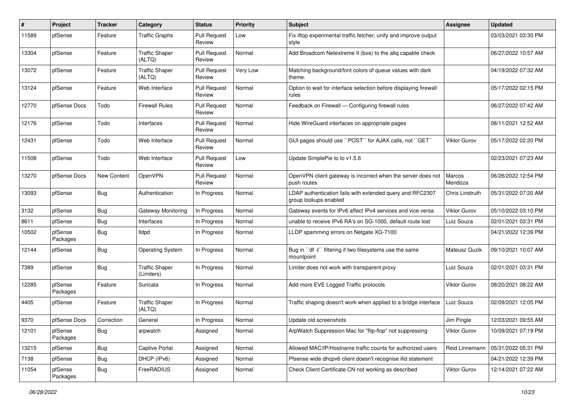| #     | Project             | <b>Tracker</b> | Category                            | <b>Status</b>                 | <b>Priority</b> | Subject                                                                            | <b>Assignee</b>     | <b>Updated</b>      |
|-------|---------------------|----------------|-------------------------------------|-------------------------------|-----------------|------------------------------------------------------------------------------------|---------------------|---------------------|
| 11589 | pfSense             | Feature        | <b>Traffic Graphs</b>               | <b>Pull Request</b><br>Review | Low             | Fix iftop experimental traffic fetcher, unify and improve output<br>style          |                     | 03/03/2021 03:30 PM |
| 13304 | pfSense             | Feature        | <b>Traffic Shaper</b><br>(ALTQ)     | <b>Pull Request</b><br>Review | Normal          | Add Broadcom Netextreme II (bxe) to the altq capable check                         |                     | 06/27/2022 10:57 AM |
| 13072 | pfSense             | Feature        | <b>Traffic Shaper</b><br>(ALTQ)     | <b>Pull Request</b><br>Review | Very Low        | Matching background/font colors of queue values with dark<br>theme.                |                     | 04/19/2022 07:32 AM |
| 13124 | pfSense             | Feature        | Web Interface                       | <b>Pull Request</b><br>Review | Normal          | Option to wait for interface selection before displaying firewall<br>rules         |                     | 05/17/2022 02:15 PM |
| 12770 | pfSense Docs        | Todo           | <b>Firewall Rules</b>               | <b>Pull Request</b><br>Review | Normal          | Feedback on Firewall - Configuring firewall rules                                  |                     | 06/27/2022 07:42 AM |
| 12176 | pfSense             | Todo           | Interfaces                          | <b>Pull Request</b><br>Review | Normal          | Hide WireGuard interfaces on appropriate pages                                     |                     | 08/11/2021 12:52 AM |
| 12431 | pfSense             | Todo           | Web Interface                       | <b>Pull Request</b><br>Review | Normal          | GUI pages should use "POST" for AJAX calls, not "GET"                              | <b>Viktor Gurov</b> | 05/17/2022 02:20 PM |
| 11508 | pfSense             | Todo           | Web Interface                       | <b>Pull Request</b><br>Review | Low             | Update SimplePie to to v1.5.6                                                      |                     | 02/23/2021 07:23 AM |
| 13270 | pfSense Docs        | New Content    | OpenVPN                             | <b>Pull Request</b><br>Review | Normal          | OpenVPN client gateway is incorrect when the server does not<br>push routes        | Marcos<br>Mendoza   | 06/26/2022 12:54 PM |
| 13093 | pfSense             | <b>Bug</b>     | Authentication                      | In Progress                   | Normal          | LDAP authentication fails with extended query and RFC2307<br>group lookups enabled | Chris Linstruth     | 05/31/2022 07:20 AM |
| 3132  | pfSense             | Bug            | Gateway Monitoring                  | In Progress                   | Normal          | Gateway events for IPv6 affect IPv4 services and vice versa                        | <b>Viktor Gurov</b> | 05/10/2022 03:10 PM |
| 8611  | pfSense             | Bug            | Interfaces                          | In Progress                   | Normal          | unable to receive IPv6 RA's on SG-1000, default route lost                         | Luiz Souza          | 02/01/2021 03:31 PM |
| 10502 | pfSense<br>Packages | Bug            | lldpd                               | In Progress                   | Normal          | LLDP spamming errors on Netgate XG-7100                                            |                     | 04/21/2022 12:39 PM |
| 12144 | pfSense             | Bug            | <b>Operating System</b>             | In Progress                   | Normal          | Bug in "df -t" filtering if two filesystems use the same<br>mountpoint             | Mateusz Guzik       | 09/10/2021 10:07 AM |
| 7389  | pfSense             | <b>Bug</b>     | <b>Traffic Shaper</b><br>(Limiters) | In Progress                   | Normal          | Limiter does not work with transparent proxy                                       | Luiz Souza          | 02/01/2021 03:31 PM |
| 12285 | pfSense<br>Packages | Feature        | Suricata                            | In Progress                   | Normal          | Add more EVE Logged Traffic protocols                                              | <b>Viktor Gurov</b> | 08/20/2021 08:22 AM |
| 4405  | pfSense             | Feature        | <b>Traffic Shaper</b><br>(ALTQ)     | In Progress                   | Normal          | Traffic shaping doesn't work when applied to a bridge interface                    | Luiz Souza          | 02/09/2021 12:05 PM |
| 9370  | pfSense Docs        | Correction     | General                             | In Progress                   | Normal          | Update old screenshots                                                             | Jim Pingle          | 12/03/2021 09:55 AM |
| 12101 | pfSense<br>Packages | <b>Bug</b>     | arpwatch                            | Assigned                      | Normal          | ArpWatch Suppression Mac for "flip-flop" not suppressing                           | Viktor Gurov        | 10/09/2021 07:19 PM |
| 13215 | pfSense             | <b>Bug</b>     | <b>Captive Portal</b>               | Assigned                      | Normal          | Allowed MAC/IP/Hostname traffic counts for authorized users                        | Reid Linnemann      | 05/31/2022 05:31 PM |
| 7138  | pfSense             | <b>Bug</b>     | DHCP (IPv6)                         | Assigned                      | Normal          | Pfsense wide dhcpv6 client doesn't recognise ifid statement                        |                     | 04/21/2022 12:39 PM |
| 11054 | pfSense<br>Packages | <b>Bug</b>     | FreeRADIUS                          | Assigned                      | Normal          | Check Client Certificate CN not working as described                               | Viktor Gurov        | 12/14/2021 07:22 AM |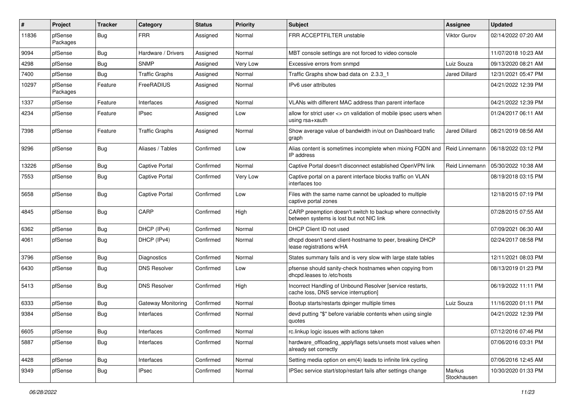| #     | Project             | <b>Tracker</b> | Category              | <b>Status</b> | <b>Priority</b> | Subject                                                                                                 | Assignee              | <b>Updated</b>      |
|-------|---------------------|----------------|-----------------------|---------------|-----------------|---------------------------------------------------------------------------------------------------------|-----------------------|---------------------|
| 11836 | pfSense<br>Packages | Bug            | <b>FRR</b>            | Assigned      | Normal          | FRR ACCEPTFILTER unstable                                                                               | <b>Viktor Gurov</b>   | 02/14/2022 07:20 AM |
| 9094  | pfSense             | Bug            | Hardware / Drivers    | Assigned      | Normal          | MBT console settings are not forced to video console                                                    |                       | 11/07/2018 10:23 AM |
| 4298  | pfSense             | Bug            | <b>SNMP</b>           | Assigned      | Very Low        | Excessive errors from snmpd                                                                             | Luiz Souza            | 09/13/2020 08:21 AM |
| 7400  | pfSense             | <b>Bug</b>     | <b>Traffic Graphs</b> | Assigned      | Normal          | Traffic Graphs show bad data on 2.3.3_1                                                                 | <b>Jared Dillard</b>  | 12/31/2021 05:47 PM |
| 10297 | pfSense<br>Packages | Feature        | FreeRADIUS            | Assigned      | Normal          | IPv6 user attributes                                                                                    |                       | 04/21/2022 12:39 PM |
| 1337  | pfSense             | Feature        | Interfaces            | Assigned      | Normal          | VLANs with different MAC address than parent interface                                                  |                       | 04/21/2022 12:39 PM |
| 4234  | pfSense             | Feature        | <b>IPsec</b>          | Assigned      | Low             | allow for strict user <> cn validation of mobile ipsec users when<br>using rsa+xauth                    |                       | 01/24/2017 06:11 AM |
| 7398  | pfSense             | Feature        | <b>Traffic Graphs</b> | Assigned      | Normal          | Show average value of bandwidth in/out on Dashboard trafic<br>graph                                     | <b>Jared Dillard</b>  | 08/21/2019 08:56 AM |
| 9296  | pfSense             | Bug            | Aliases / Tables      | Confirmed     | Low             | Alias content is sometimes incomplete when mixing FQDN and<br>IP address                                | Reid Linnemann        | 06/18/2022 03:12 PM |
| 13226 | pfSense             | Bug            | Captive Portal        | Confirmed     | Normal          | Captive Portal doesn't disconnect established OpenVPN link                                              | Reid Linnemann        | 05/30/2022 10:38 AM |
| 7553  | pfSense             | <b>Bug</b>     | <b>Captive Portal</b> | Confirmed     | Very Low        | Captive portal on a parent interface blocks traffic on VLAN<br>interfaces too                           |                       | 08/19/2018 03:15 PM |
| 5658  | pfSense             | Bug            | <b>Captive Portal</b> | Confirmed     | Low             | Files with the same name cannot be uploaded to multiple<br>captive portal zones                         |                       | 12/18/2015 07:19 PM |
| 4845  | pfSense             | Bug            | CARP                  | Confirmed     | High            | CARP preemption doesn't switch to backup where connectivity<br>between systems is lost but not NIC link |                       | 07/28/2015 07:55 AM |
| 6362  | pfSense             | Bug            | DHCP (IPv4)           | Confirmed     | Normal          | DHCP Client ID not used                                                                                 |                       | 07/09/2021 06:30 AM |
| 4061  | pfSense             | <b>Bug</b>     | DHCP (IPv4)           | Confirmed     | Normal          | dhcpd doesn't send client-hostname to peer, breaking DHCP<br>lease registrations w/HA                   |                       | 02/24/2017 08:58 PM |
| 3796  | pfSense             | <b>Bug</b>     | Diagnostics           | Confirmed     | Normal          | States summary fails and is very slow with large state tables                                           |                       | 12/11/2021 08:03 PM |
| 6430  | pfSense             | Bug            | <b>DNS Resolver</b>   | Confirmed     | Low             | pfsense should sanity-check hostnames when copying from<br>dhcpd.leases to /etc/hosts                   |                       | 08/13/2019 01:23 PM |
| 5413  | pfSense             | <b>Bug</b>     | <b>DNS Resolver</b>   | Confirmed     | High            | Incorrect Handling of Unbound Resolver [service restarts,<br>cache loss, DNS service interruption]      |                       | 06/19/2022 11:11 PM |
| 6333  | pfSense             | Bug            | Gateway Monitoring    | Confirmed     | Normal          | Bootup starts/restarts dpinger multiple times                                                           | Luiz Souza            | 11/16/2020 01:11 PM |
| 9384  | pfSense             | Bug            | Interfaces            | Confirmed     | Normal          | devd putting "\$" before variable contents when using single<br>quotes                                  |                       | 04/21/2022 12:39 PM |
| 6605  | pfSense             | <b>Bug</b>     | Interfaces            | Confirmed     | Normal          | rc.linkup logic issues with actions taken                                                               |                       | 07/12/2016 07:46 PM |
| 5887  | pfSense             | <b>Bug</b>     | Interfaces            | Confirmed     | Normal          | hardware_offloading_applyflags sets/unsets most values when<br>already set correctly                    |                       | 07/06/2016 03:31 PM |
| 4428  | pfSense             | <b>Bug</b>     | Interfaces            | Confirmed     | Normal          | Setting media option on em(4) leads to infinite link cycling                                            |                       | 07/06/2016 12:45 AM |
| 9349  | pfSense             | <b>Bug</b>     | <b>IPsec</b>          | Confirmed     | Normal          | IPSec service start/stop/restart fails after settings change                                            | Markus<br>Stockhausen | 10/30/2020 01:33 PM |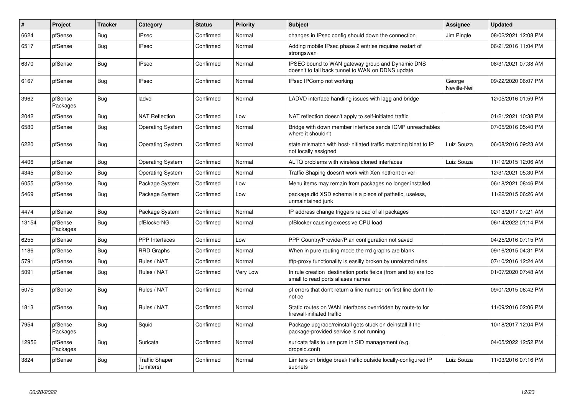| $\pmb{\#}$ | Project             | <b>Tracker</b> | Category                            | <b>Status</b> | Priority | <b>Subject</b>                                                                                        | Assignee               | <b>Updated</b>      |
|------------|---------------------|----------------|-------------------------------------|---------------|----------|-------------------------------------------------------------------------------------------------------|------------------------|---------------------|
| 6624       | pfSense             | Bug            | <b>IPsec</b>                        | Confirmed     | Normal   | changes in IPsec config should down the connection                                                    | Jim Pingle             | 08/02/2021 12:08 PM |
| 6517       | pfSense             | <b>Bug</b>     | <b>IPsec</b>                        | Confirmed     | Normal   | Adding mobile IPsec phase 2 entries requires restart of<br>strongswan                                 |                        | 06/21/2016 11:04 PM |
| 6370       | pfSense             | Bug            | <b>IPsec</b>                        | Confirmed     | Normal   | IPSEC bound to WAN gateway group and Dynamic DNS<br>doesn't to fail back tunnel to WAN on DDNS update |                        | 08/31/2021 07:38 AM |
| 6167       | pfSense             | Bug            | <b>IPsec</b>                        | Confirmed     | Normal   | IPsec IPComp not working                                                                              | George<br>Neville-Neil | 09/22/2020 06:07 PM |
| 3962       | pfSense<br>Packages | Bug            | ladvd                               | Confirmed     | Normal   | LADVD interface handling issues with lagg and bridge                                                  |                        | 12/05/2016 01:59 PM |
| 2042       | pfSense             | <b>Bug</b>     | <b>NAT Reflection</b>               | Confirmed     | Low      | NAT reflection doesn't apply to self-initiated traffic                                                |                        | 01/21/2021 10:38 PM |
| 6580       | pfSense             | <b>Bug</b>     | <b>Operating System</b>             | Confirmed     | Normal   | Bridge with down member interface sends ICMP unreachables<br>where it shouldn't                       |                        | 07/05/2016 05:40 PM |
| 6220       | pfSense             | Bug            | <b>Operating System</b>             | Confirmed     | Normal   | state mismatch with host-initiated traffic matching binat to IP<br>not locally assigned               | Luiz Souza             | 06/08/2016 09:23 AM |
| 4406       | pfSense             | <b>Bug</b>     | <b>Operating System</b>             | Confirmed     | Normal   | ALTQ problems with wireless cloned interfaces                                                         | Luiz Souza             | 11/19/2015 12:06 AM |
| 4345       | pfSense             | Bug            | <b>Operating System</b>             | Confirmed     | Normal   | Traffic Shaping doesn't work with Xen netfront driver                                                 |                        | 12/31/2021 05:30 PM |
| 6055       | pfSense             | <b>Bug</b>     | Package System                      | Confirmed     | Low      | Menu items may remain from packages no longer installed                                               |                        | 06/18/2021 08:46 PM |
| 5469       | pfSense             | <b>Bug</b>     | Package System                      | Confirmed     | Low      | package.dtd XSD schema is a piece of pathetic, useless,<br>unmaintained junk                          |                        | 11/22/2015 06:26 AM |
| 4474       | pfSense             | <b>Bug</b>     | Package System                      | Confirmed     | Normal   | IP address change triggers reload of all packages                                                     |                        | 02/13/2017 07:21 AM |
| 13154      | pfSense<br>Packages | Bug            | pfBlockerNG                         | Confirmed     | Normal   | pfBlocker causing excessive CPU load                                                                  |                        | 06/14/2022 01:14 PM |
| 6255       | pfSense             | <b>Bug</b>     | PPP Interfaces                      | Confirmed     | Low      | PPP Country/Provider/Plan configuration not saved                                                     |                        | 04/25/2016 07:15 PM |
| 1186       | pfSense             | <b>Bug</b>     | <b>RRD Graphs</b>                   | Confirmed     | Normal   | When in pure routing mode the rrd graphs are blank                                                    |                        | 09/16/2015 04:31 PM |
| 5791       | pfSense             | Bug            | Rules / NAT                         | Confirmed     | Normal   | tftp-proxy functionality is easilly broken by unrelated rules                                         |                        | 07/10/2016 12:24 AM |
| 5091       | pfSense             | <b>Bug</b>     | Rules / NAT                         | Confirmed     | Very Low | In rule creation destination ports fields (from and to) are too<br>small to read ports aliases names  |                        | 01/07/2020 07:48 AM |
| 5075       | pfSense             | <b>Bug</b>     | Rules / NAT                         | Confirmed     | Normal   | pf errors that don't return a line number on first line don't file<br>notice                          |                        | 09/01/2015 06:42 PM |
| 1813       | pfSense             | <b>Bug</b>     | Rules / NAT                         | Confirmed     | Normal   | Static routes on WAN interfaces overridden by route-to for<br>firewall-initiated traffic              |                        | 11/09/2016 02:06 PM |
| 7954       | pfSense<br>Packages | <b>Bug</b>     | Squid                               | Confirmed     | Normal   | Package upgrade/reinstall gets stuck on deinstall if the<br>package-provided service is not running   |                        | 10/18/2017 12:04 PM |
| 12956      | pfSense<br>Packages | <b>Bug</b>     | Suricata                            | Confirmed     | Normal   | suricata fails to use pcre in SID management (e.g.<br>dropsid.conf)                                   |                        | 04/05/2022 12:52 PM |
| 3824       | pfSense             | <b>Bug</b>     | <b>Traffic Shaper</b><br>(Limiters) | Confirmed     | Normal   | Limiters on bridge break traffic outside locally-configured IP<br>subnets                             | Luiz Souza             | 11/03/2016 07:16 PM |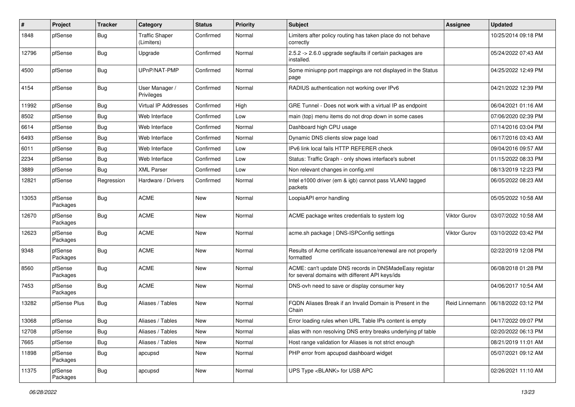| $\#$  | Project             | <b>Tracker</b> | Category                            | <b>Status</b> | <b>Priority</b> | <b>Subject</b>                                                                                            | <b>Assignee</b>     | <b>Updated</b>      |
|-------|---------------------|----------------|-------------------------------------|---------------|-----------------|-----------------------------------------------------------------------------------------------------------|---------------------|---------------------|
| 1848  | pfSense             | Bug            | <b>Traffic Shaper</b><br>(Limiters) | Confirmed     | Normal          | Limiters after policy routing has taken place do not behave<br>correctly                                  |                     | 10/25/2014 09:18 PM |
| 12796 | pfSense             | Bug            | Upgrade                             | Confirmed     | Normal          | 2.5.2 -> 2.6.0 upgrade segfaults if certain packages are<br>installed.                                    |                     | 05/24/2022 07:43 AM |
| 4500  | pfSense             | Bug            | UPnP/NAT-PMP                        | Confirmed     | Normal          | Some miniupnp port mappings are not displayed in the Status<br>page                                       |                     | 04/25/2022 12:49 PM |
| 4154  | pfSense             | Bug            | User Manager /<br>Privileges        | Confirmed     | Normal          | RADIUS authentication not working over IPv6                                                               |                     | 04/21/2022 12:39 PM |
| 11992 | pfSense             | Bug            | Virtual IP Addresses                | Confirmed     | High            | GRE Tunnel - Does not work with a virtual IP as endpoint                                                  |                     | 06/04/2021 01:16 AM |
| 8502  | pfSense             | Bug            | Web Interface                       | Confirmed     | Low             | main (top) menu items do not drop down in some cases                                                      |                     | 07/06/2020 02:39 PM |
| 6614  | pfSense             | Bug            | Web Interface                       | Confirmed     | Normal          | Dashboard high CPU usage                                                                                  |                     | 07/14/2016 03:04 PM |
| 6493  | pfSense             | Bug            | Web Interface                       | Confirmed     | Normal          | Dynamic DNS clients slow page load                                                                        |                     | 06/17/2016 03:43 AM |
| 6011  | pfSense             | Bug            | Web Interface                       | Confirmed     | Low             | IPv6 link local fails HTTP REFERER check                                                                  |                     | 09/04/2016 09:57 AM |
| 2234  | pfSense             | Bug            | Web Interface                       | Confirmed     | Low             | Status: Traffic Graph - only shows interface's subnet                                                     |                     | 01/15/2022 08:33 PM |
| 3889  | pfSense             | Bug            | <b>XML Parser</b>                   | Confirmed     | Low             | Non relevant changes in config.xml                                                                        |                     | 08/13/2019 12:23 PM |
| 12821 | pfSense             | Regression     | Hardware / Drivers                  | Confirmed     | Normal          | Intel e1000 driver (em & igb) cannot pass VLAN0 tagged<br>packets                                         |                     | 06/05/2022 08:23 AM |
| 13053 | pfSense<br>Packages | Bug            | <b>ACME</b>                         | <b>New</b>    | Normal          | LoopiaAPI error handling                                                                                  |                     | 05/05/2022 10:58 AM |
| 12670 | pfSense<br>Packages | Bug            | <b>ACME</b>                         | New           | Normal          | ACME package writes credentials to system log                                                             | <b>Viktor Gurov</b> | 03/07/2022 10:58 AM |
| 12623 | pfSense<br>Packages | Bug            | <b>ACME</b>                         | New           | Normal          | acme.sh package   DNS-ISPConfig settings                                                                  | Viktor Gurov        | 03/10/2022 03:42 PM |
| 9348  | pfSense<br>Packages | Bug            | <b>ACME</b>                         | <b>New</b>    | Normal          | Results of Acme certificate issuance/renewal are not properly<br>formatted                                |                     | 02/22/2019 12:08 PM |
| 8560  | pfSense<br>Packages | Bug            | <b>ACME</b>                         | <b>New</b>    | Normal          | ACME: can't update DNS records in DNSMadeEasy registar<br>for several domains with different API keys/ids |                     | 06/08/2018 01:28 PM |
| 7453  | pfSense<br>Packages | Bug            | <b>ACME</b>                         | <b>New</b>    | Normal          | DNS-ovh need to save or display consumer key                                                              |                     | 04/06/2017 10:54 AM |
| 13282 | pfSense Plus        | Bug            | Aliases / Tables                    | New           | Normal          | FQDN Aliases Break if an Invalid Domain is Present in the<br>Chain                                        | Reid Linnemann      | 06/18/2022 03:12 PM |
| 13068 | pfSense             | Bug            | Aliases / Tables                    | New           | Normal          | Error loading rules when URL Table IPs content is empty                                                   |                     | 04/17/2022 09:07 PM |
| 12708 | pfSense             | Bug            | Aliases / Tables                    | New           | Normal          | alias with non resolving DNS entry breaks underlying pf table                                             |                     | 02/20/2022 06:13 PM |
| 7665  | pfSense             | <b>Bug</b>     | Aliases / Tables                    | New           | Normal          | Host range validation for Aliases is not strict enough                                                    |                     | 08/21/2019 11:01 AM |
| 11898 | pfSense<br>Packages | Bug            | apcupsd                             | New           | Normal          | PHP error from apcupsd dashboard widget                                                                   |                     | 05/07/2021 09:12 AM |
| 11375 | pfSense<br>Packages | Bug            | apcupsd                             | New           | Normal          | UPS Type <blank> for USB APC</blank>                                                                      |                     | 02/26/2021 11:10 AM |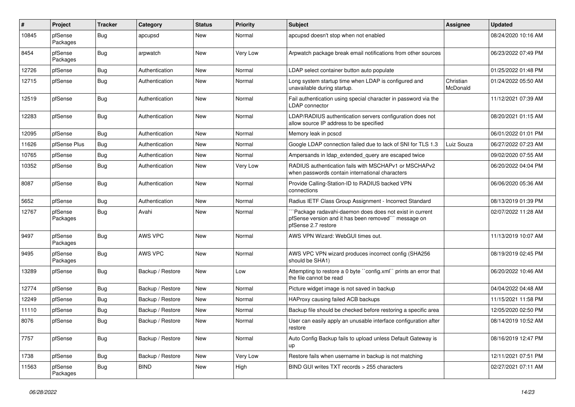| #     | Project             | <b>Tracker</b> | Category         | <b>Status</b> | <b>Priority</b> | <b>Subject</b>                                                                                                                        | <b>Assignee</b>       | <b>Updated</b>      |
|-------|---------------------|----------------|------------------|---------------|-----------------|---------------------------------------------------------------------------------------------------------------------------------------|-----------------------|---------------------|
| 10845 | pfSense<br>Packages | Bug            | apcupsd          | New           | Normal          | apcupsd doesn't stop when not enabled                                                                                                 |                       | 08/24/2020 10:16 AM |
| 8454  | pfSense<br>Packages | Bug            | arpwatch         | New           | Very Low        | Arpwatch package break email notifications from other sources                                                                         |                       | 06/23/2022 07:49 PM |
| 12726 | pfSense             | Bug            | Authentication   | <b>New</b>    | Normal          | LDAP select container button auto populate                                                                                            |                       | 01/25/2022 01:48 PM |
| 12715 | pfSense             | Bug            | Authentication   | New           | Normal          | Long system startup time when LDAP is configured and<br>unavailable during startup.                                                   | Christian<br>McDonald | 01/24/2022 05:50 AM |
| 12519 | pfSense             | Bug            | Authentication   | <b>New</b>    | Normal          | Fail authentication using special character in password via the<br>LDAP connector                                                     |                       | 11/12/2021 07:39 AM |
| 12283 | pfSense             | Bug            | Authentication   | <b>New</b>    | Normal          | LDAP/RADIUS authentication servers configuration does not<br>allow source IP address to be specified                                  |                       | 08/20/2021 01:15 AM |
| 12095 | pfSense             | Bug            | Authentication   | <b>New</b>    | Normal          | Memory leak in pcscd                                                                                                                  |                       | 06/01/2022 01:01 PM |
| 11626 | pfSense Plus        | Bug            | Authentication   | <b>New</b>    | Normal          | Google LDAP connection failed due to lack of SNI for TLS 1.3                                                                          | Luiz Souza            | 06/27/2022 07:23 AM |
| 10765 | pfSense             | Bug            | Authentication   | New           | Normal          | Ampersands in Idap extended query are escaped twice                                                                                   |                       | 09/02/2020 07:55 AM |
| 10352 | pfSense             | Bug            | Authentication   | New           | Very Low        | RADIUS authentication fails with MSCHAPv1 or MSCHAPv2<br>when passwords contain international characters                              |                       | 06/20/2022 04:04 PM |
| 8087  | pfSense             | Bug            | Authentication   | <b>New</b>    | Normal          | Provide Calling-Station-ID to RADIUS backed VPN<br>connections                                                                        |                       | 06/06/2020 05:36 AM |
| 5652  | pfSense             | Bug            | Authentication   | <b>New</b>    | Normal          | Radius IETF Class Group Assignment - Incorrect Standard                                                                               |                       | 08/13/2019 01:39 PM |
| 12767 | pfSense<br>Packages | Bug            | Avahi            | New           | Normal          | 'Package radavahi-daemon does does not exist in current<br>pfSense version and it has been removed" message on<br>pfSense 2.7 restore |                       | 02/07/2022 11:28 AM |
| 9497  | pfSense<br>Packages | Bug            | AWS VPC          | New           | Normal          | AWS VPN Wizard: WebGUI times out.                                                                                                     |                       | 11/13/2019 10:07 AM |
| 9495  | pfSense<br>Packages | Bug            | AWS VPC          | New           | Normal          | AWS VPC VPN wizard produces incorrect config (SHA256)<br>should be SHA1)                                                              |                       | 08/19/2019 02:45 PM |
| 13289 | pfSense             | Bug            | Backup / Restore | New           | Low             | Attempting to restore a 0 byte "config.xml" prints an error that<br>the file cannot be read                                           |                       | 06/20/2022 10:46 AM |
| 12774 | pfSense             | Bug            | Backup / Restore | <b>New</b>    | Normal          | Picture widget image is not saved in backup                                                                                           |                       | 04/04/2022 04:48 AM |
| 12249 | pfSense             | Bug            | Backup / Restore | New           | Normal          | HAProxy causing failed ACB backups                                                                                                    |                       | 11/15/2021 11:58 PM |
| 11110 | pfSense             | Bug            | Backup / Restore | New           | Normal          | Backup file should be checked before restoring a specific area                                                                        |                       | 12/05/2020 02:50 PM |
| 8076  | pfSense             | Bug            | Backup / Restore | <b>New</b>    | Normal          | User can easily apply an unusable interface configuration after<br>restore                                                            |                       | 08/14/2019 10:52 AM |
| 7757  | pfSense             | Bug            | Backup / Restore | New           | Normal          | Auto Config Backup fails to upload unless Default Gateway is<br>up                                                                    |                       | 08/16/2019 12:47 PM |
| 1738  | pfSense             | Bug            | Backup / Restore | New           | Very Low        | Restore fails when username in backup is not matching                                                                                 |                       | 12/11/2021 07:51 PM |
| 11563 | pfSense<br>Packages | <b>Bug</b>     | <b>BIND</b>      | New           | High            | BIND GUI writes TXT records > 255 characters                                                                                          |                       | 02/27/2021 07:11 AM |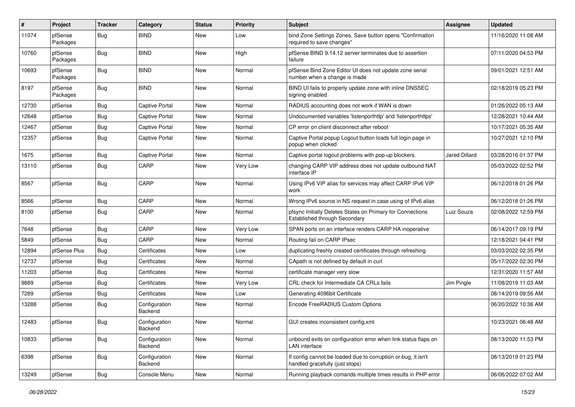| ∦     | Project             | <b>Tracker</b> | Category                 | <b>Status</b> | <b>Priority</b> | <b>Subject</b>                                                                                   | Assignee             | <b>Updated</b>      |
|-------|---------------------|----------------|--------------------------|---------------|-----------------|--------------------------------------------------------------------------------------------------|----------------------|---------------------|
| 11074 | pfSense<br>Packages | Bug            | <b>BIND</b>              | <b>New</b>    | Low             | bind Zone Settings Zones, Save button opens "Confirmation<br>required to save changes"           |                      | 11/16/2020 11:08 AM |
| 10760 | pfSense<br>Packages | <b>Bug</b>     | <b>BIND</b>              | New           | High            | pfSense BIND 9.14.12 server terminates due to assertion<br>failure                               |                      | 07/11/2020 04:53 PM |
| 10693 | pfSense<br>Packages | <b>Bug</b>     | <b>BIND</b>              | New           | Normal          | pfSense Bind Zone Editor UI does not update zone serial<br>number when a change is made          |                      | 09/01/2021 12:51 AM |
| 8197  | pfSense<br>Packages | Bug            | <b>BIND</b>              | New           | Normal          | BIND UI fails to properly update zone with inline DNSSEC<br>signing enabled                      |                      | 02/18/2019 05:23 PM |
| 12730 | pfSense             | Bug            | Captive Portal           | New           | Normal          | RADIUS accounting does not work if WAN is down                                                   |                      | 01/26/2022 05:13 AM |
| 12648 | pfSense             | Bug            | <b>Captive Portal</b>    | <b>New</b>    | Normal          | Undocumented variables 'listenporthttp' and 'listenporthttps'                                    |                      | 12/28/2021 10:44 AM |
| 12467 | pfSense             | Bug            | <b>Captive Portal</b>    | New           | Normal          | CP error on client disconnect after reboot                                                       |                      | 10/17/2021 05:35 AM |
| 12357 | pfSense             | Bug            | <b>Captive Portal</b>    | <b>New</b>    | Normal          | Captive Portal popup Logout button loads full login page in<br>popup when clicked                |                      | 10/27/2021 12:10 PM |
| 1675  | pfSense             | Bug            | <b>Captive Portal</b>    | <b>New</b>    | Normal          | Captive portal logout problems with pop-up blockers.                                             | <b>Jared Dillard</b> | 03/28/2016 01:37 PM |
| 13110 | pfSense             | Bug            | CARP                     | New           | Very Low        | changing CARP VIP address does not update outbound NAT<br>interface IP                           |                      | 05/03/2022 02:52 PM |
| 8567  | pfSense             | Bug            | CARP                     | <b>New</b>    | Normal          | Using IPv6 VIP alias for services may affect CARP IPv6 VIP<br>work                               |                      | 06/12/2018 01:26 PM |
| 8566  | pfSense             | Bug            | CARP                     | <b>New</b>    | Normal          | Wrong IPv6 source in NS request in case using of IPv6 alias                                      |                      | 06/12/2018 01:26 PM |
| 8100  | pfSense             | Bug            | CARP                     | <b>New</b>    | Normal          | pfsync Initially Deletes States on Primary for Connections<br>Established through Secondary      | Luiz Souza           | 02/08/2022 12:59 PM |
| 7648  | pfSense             | Bug            | CARP                     | New           | Very Low        | SPAN ports on an interface renders CARP HA inoperative                                           |                      | 06/14/2017 09:19 PM |
| 5849  | pfSense             | <b>Bug</b>     | CARP                     | New           | Normal          | Routing fail on CARP IPsec                                                                       |                      | 12/18/2021 04:41 PM |
| 12894 | pfSense Plus        | Bug            | Certificates             | New           | Low             | duplicating freshly created certificates through refreshing                                      |                      | 03/03/2022 02:35 PM |
| 12737 | pfSense             | Bug            | Certificates             | New           | Normal          | CApath is not defined by default in curl                                                         |                      | 05/17/2022 02:30 PM |
| 11203 | pfSense             | Bug            | Certificates             | New           | Normal          | certificate manager very slow                                                                    |                      | 12/31/2020 11:57 AM |
| 9889  | pfSense             | Bug            | Certificates             | New           | Very Low        | CRL check for Intermediate CA CRLs fails                                                         | Jim Pingle           | 11/08/2019 11:03 AM |
| 7289  | pfSense             | Bug            | Certificates             | <b>New</b>    | Low             | Generating 4096bit Certificate                                                                   |                      | 08/14/2019 09:56 AM |
| 13288 | pfSense             | Bug            | Configuration<br>Backend | New           | Normal          | Encode FreeRADIUS Custom Options                                                                 |                      | 06/20/2022 10:36 AM |
| 12483 | pfSense             | Bug            | Configuration<br>Backend | New           | Normal          | GUI creates inconsistent config.xml                                                              |                      | 10/23/2021 06:48 AM |
| 10833 | pfSense             | <b>Bug</b>     | Configuration<br>Backend | New           | Normal          | unbound exits on configuration error when link status flaps on<br><b>LAN</b> interface           |                      | 08/13/2020 11:53 PM |
| 6398  | pfSense             | Bug            | Configuration<br>Backend | New           | Normal          | If config cannot be loaded due to corruption or bug, it isn't<br>handled gracefully (just stops) |                      | 08/13/2019 01:23 PM |
| 13249 | pfSense             | Bug            | Console Menu             | New           | Normal          | Running playback comands multiple times results in PHP error                                     |                      | 06/06/2022 07:02 AM |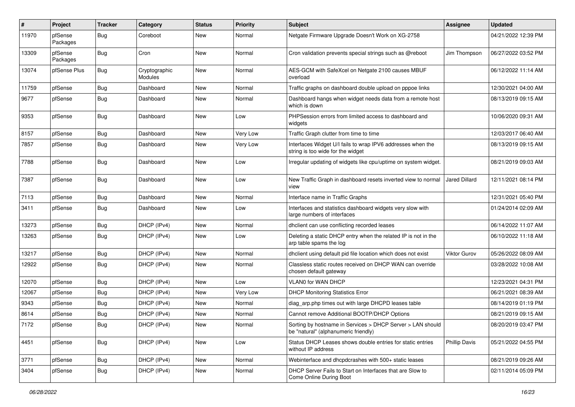| #     | Project             | <b>Tracker</b> | Category                 | <b>Status</b> | <b>Priority</b> | Subject                                                                                            | Assignee             | <b>Updated</b>      |
|-------|---------------------|----------------|--------------------------|---------------|-----------------|----------------------------------------------------------------------------------------------------|----------------------|---------------------|
| 11970 | pfSense<br>Packages | Bug            | Coreboot                 | New           | Normal          | Netgate Firmware Upgrade Doesn't Work on XG-2758                                                   |                      | 04/21/2022 12:39 PM |
| 13309 | pfSense<br>Packages | Bug            | Cron                     | <b>New</b>    | Normal          | Cron validation prevents special strings such as @reboot                                           | Jim Thompson         | 06/27/2022 03:52 PM |
| 13074 | pfSense Plus        | Bug            | Cryptographic<br>Modules | New           | Normal          | AES-GCM with SafeXcel on Netgate 2100 causes MBUF<br>overload                                      |                      | 06/12/2022 11:14 AM |
| 11759 | pfSense             | Bug            | Dashboard                | New           | Normal          | Traffic graphs on dashboard double upload on pppoe links                                           |                      | 12/30/2021 04:00 AM |
| 9677  | pfSense             | <b>Bug</b>     | Dashboard                | New           | Normal          | Dashboard hangs when widget needs data from a remote host<br>which is down                         |                      | 08/13/2019 09:15 AM |
| 9353  | pfSense             | Bug            | Dashboard                | <b>New</b>    | Low             | PHPSession errors from limited access to dashboard and<br>widgets                                  |                      | 10/06/2020 09:31 AM |
| 8157  | pfSense             | Bug            | Dashboard                | <b>New</b>    | Very Low        | Traffic Graph clutter from time to time                                                            |                      | 12/03/2017 06:40 AM |
| 7857  | pfSense             | Bug            | Dashboard                | New           | Very Low        | Interfaces Widget U/I fails to wrap IPV6 addresses when the<br>string is too wide for the widget   |                      | 08/13/2019 09:15 AM |
| 7788  | pfSense             | Bug            | Dashboard                | New           | Low             | Irregular updating of widgets like cpu/uptime on system widget.                                    |                      | 08/21/2019 09:03 AM |
| 7387  | pfSense             | Bug            | Dashboard                | <b>New</b>    | Low             | New Traffic Graph in dashboard resets inverted view to normal<br>view                              | <b>Jared Dillard</b> | 12/11/2021 08:14 PM |
| 7113  | pfSense             | Bug            | Dashboard                | <b>New</b>    | Normal          | Interface name in Traffic Graphs                                                                   |                      | 12/31/2021 05:40 PM |
| 3411  | pfSense             | Bug            | Dashboard                | New           | Low             | Interfaces and statistics dashboard widgets very slow with<br>large numbers of interfaces          |                      | 01/24/2014 02:09 AM |
| 13273 | pfSense             | Bug            | DHCP (IPv4)              | <b>New</b>    | Normal          | dhclient can use conflicting recorded leases                                                       |                      | 06/14/2022 11:07 AM |
| 13263 | pfSense             | Bug            | DHCP (IPv4)              | New           | Low             | Deleting a static DHCP entry when the related IP is not in the<br>arp table spams the log          |                      | 06/10/2022 11:18 AM |
| 13217 | pfSense             | Bug            | DHCP (IPv4)              | <b>New</b>    | Normal          | dhclient using default pid file location which does not exist                                      | Viktor Gurov         | 05/26/2022 08:09 AM |
| 12922 | pfSense             | Bug            | DHCP (IPv4)              | New           | Normal          | Classless static routes received on DHCP WAN can override<br>chosen default gateway                |                      | 03/28/2022 10:08 AM |
| 12070 | pfSense             | Bug            | DHCP (IPv4)              | <b>New</b>    | Low             | VLAN0 for WAN DHCP                                                                                 |                      | 12/23/2021 04:31 PM |
| 12067 | pfSense             | Bug            | DHCP (IPv4)              | <b>New</b>    | Very Low        | <b>DHCP Monitoring Statistics Error</b>                                                            |                      | 06/21/2021 08:39 AM |
| 9343  | pfSense             | Bug            | DHCP (IPv4)              | New           | Normal          | diag arp.php times out with large DHCPD leases table                                               |                      | 08/14/2019 01:19 PM |
| 8614  | pfSense             | <b>Bug</b>     | DHCP (IPv4)              | New           | Normal          | Cannot remove Additional BOOTP/DHCP Options                                                        |                      | 08/21/2019 09:15 AM |
| 7172  | pfSense             | <b>Bug</b>     | DHCP (IPv4)              | New           | Normal          | Sorting by hostname in Services > DHCP Server > LAN should<br>be "natural" (alphanumeric friendly) |                      | 08/20/2019 03:47 PM |
| 4451  | pfSense             | Bug            | DHCP (IPv4)              | New           | Low             | Status DHCP Leases shows double entries for static entries<br>without IP address                   | <b>Phillip Davis</b> | 05/21/2022 04:55 PM |
| 3771  | pfSense             | Bug            | DHCP (IPv4)              | New           | Normal          | Webinterface and dhcpdcrashes with 500+ static leases                                              |                      | 08/21/2019 09:26 AM |
| 3404  | pfSense             | <b>Bug</b>     | DHCP (IPv4)              | New           | Normal          | DHCP Server Fails to Start on Interfaces that are Slow to<br>Come Online During Boot               |                      | 02/11/2014 05:09 PM |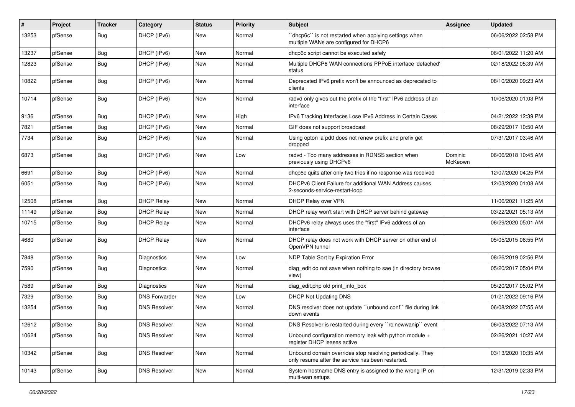| #     | Project | <b>Tracker</b> | Category             | <b>Status</b> | <b>Priority</b> | <b>Subject</b>                                                                                                  | <b>Assignee</b>    | <b>Updated</b>      |
|-------|---------|----------------|----------------------|---------------|-----------------|-----------------------------------------------------------------------------------------------------------------|--------------------|---------------------|
| 13253 | pfSense | Bug            | DHCP (IPv6)          | New           | Normal          | 'dhcp6c' is not restarted when applying settings when<br>multiple WANs are configured for DHCP6                 |                    | 06/06/2022 02:58 PM |
| 13237 | pfSense | Bug            | DHCP (IPv6)          | New           | Normal          | dhcp6c script cannot be executed safely                                                                         |                    | 06/01/2022 11:20 AM |
| 12823 | pfSense | Bug            | DHCP (IPv6)          | New           | Normal          | Multiple DHCP6 WAN connections PPPoE interface 'defached'<br>status                                             |                    | 02/18/2022 05:39 AM |
| 10822 | pfSense | Bug            | DHCP (IPv6)          | <b>New</b>    | Normal          | Deprecated IPv6 prefix won't be announced as deprecated to<br>clients                                           |                    | 08/10/2020 09:23 AM |
| 10714 | pfSense | Bug            | DHCP (IPv6)          | <b>New</b>    | Normal          | radvd only gives out the prefix of the "first" IPv6 address of an<br>interface                                  |                    | 10/06/2020 01:03 PM |
| 9136  | pfSense | <b>Bug</b>     | DHCP (IPv6)          | <b>New</b>    | High            | IPv6 Tracking Interfaces Lose IPv6 Address in Certain Cases                                                     |                    | 04/21/2022 12:39 PM |
| 7821  | pfSense | Bug            | DHCP (IPv6)          | <b>New</b>    | Normal          | GIF does not support broadcast                                                                                  |                    | 08/29/2017 10:50 AM |
| 7734  | pfSense | Bug            | DHCP (IPv6)          | New           | Normal          | Using opton ia pd0 does not renew prefix and prefix get<br>dropped                                              |                    | 07/31/2017 03:46 AM |
| 6873  | pfSense | Bug            | DHCP (IPv6)          | New           | Low             | radvd - Too many addresses in RDNSS section when<br>previously using DHCPv6                                     | Dominic<br>McKeown | 06/06/2018 10:45 AM |
| 6691  | pfSense | Bug            | DHCP (IPv6)          | <b>New</b>    | Normal          | dhcp6c quits after only two tries if no response was received                                                   |                    | 12/07/2020 04:25 PM |
| 6051  | pfSense | Bug            | DHCP (IPv6)          | New           | Normal          | DHCPv6 Client Failure for additional WAN Address causes<br>2-seconds-service-restart-loop                       |                    | 12/03/2020 01:08 AM |
| 12508 | pfSense | Bug            | <b>DHCP Relay</b>    | <b>New</b>    | Normal          | DHCP Relay over VPN                                                                                             |                    | 11/06/2021 11:25 AM |
| 11149 | pfSense | Bug            | <b>DHCP Relay</b>    | New           | Normal          | DHCP relay won't start with DHCP server behind gateway                                                          |                    | 03/22/2021 05:13 AM |
| 10715 | pfSense | Bug            | <b>DHCP Relay</b>    | New           | Normal          | DHCPv6 relay always uses the "first" IPv6 address of an<br>interface                                            |                    | 06/29/2020 05:01 AM |
| 4680  | pfSense | Bug            | <b>DHCP Relay</b>    | <b>New</b>    | Normal          | DHCP relay does not work with DHCP server on other end of<br>OpenVPN tunnel                                     |                    | 05/05/2015 06:55 PM |
| 7848  | pfSense | Bug            | Diagnostics          | New           | Low             | NDP Table Sort by Expiration Error                                                                              |                    | 08/26/2019 02:56 PM |
| 7590  | pfSense | Bug            | Diagnostics          | New           | Normal          | diag_edit do not save when nothing to sae (in directory browse<br>view)                                         |                    | 05/20/2017 05:04 PM |
| 7589  | pfSense | Bug            | Diagnostics          | New           | Normal          | diag_edit.php old print_info_box                                                                                |                    | 05/20/2017 05:02 PM |
| 7329  | pfSense | Bug            | <b>DNS Forwarder</b> | New           | Low             | <b>DHCP Not Updating DNS</b>                                                                                    |                    | 01/21/2022 09:16 PM |
| 13254 | pfSense | Bug            | <b>DNS Resolver</b>  | New           | Normal          | DNS resolver does not update "unbound.conf" file during link<br>down events                                     |                    | 06/08/2022 07:55 AM |
| 12612 | pfSense | Bug            | <b>DNS Resolver</b>  | New           | Normal          | DNS Resolver is restarted during every "rc.newwanip" event                                                      |                    | 06/03/2022 07:13 AM |
| 10624 | pfSense | Bug            | <b>DNS Resolver</b>  | New           | Normal          | Unbound configuration memory leak with python module $+$<br>register DHCP leases active                         |                    | 02/26/2021 10:27 AM |
| 10342 | pfSense | <b>Bug</b>     | <b>DNS Resolver</b>  | New           | Normal          | Unbound domain overrides stop resolving periodically. They<br>only resume after the service has been restarted. |                    | 03/13/2020 10:35 AM |
| 10143 | pfSense | Bug            | <b>DNS Resolver</b>  | New           | Normal          | System hostname DNS entry is assigned to the wrong IP on<br>multi-wan setups                                    |                    | 12/31/2019 02:33 PM |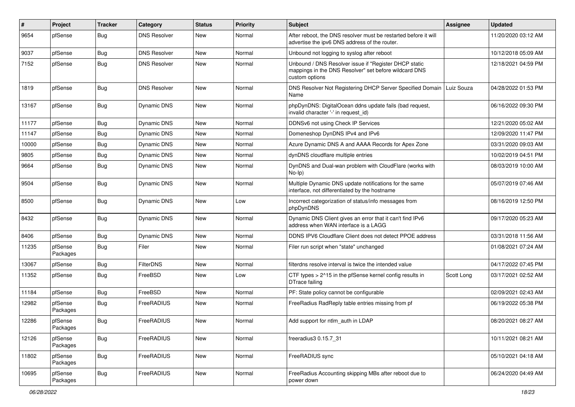| $\sharp$ | Project             | <b>Tracker</b> | Category            | <b>Status</b> | <b>Priority</b> | Subject                                                                                                                          | Assignee   | <b>Updated</b>      |
|----------|---------------------|----------------|---------------------|---------------|-----------------|----------------------------------------------------------------------------------------------------------------------------------|------------|---------------------|
| 9654     | pfSense             | Bug            | <b>DNS Resolver</b> | New           | Normal          | After reboot, the DNS resolver must be restarted before it will<br>advertise the ipv6 DNS address of the router.                 |            | 11/20/2020 03:12 AM |
| 9037     | pfSense             | Bug            | <b>DNS Resolver</b> | New           | Normal          | Unbound not logging to syslog after reboot                                                                                       |            | 10/12/2018 05:09 AM |
| 7152     | pfSense             | Bug            | <b>DNS Resolver</b> | New           | Normal          | Unbound / DNS Resolver issue if "Register DHCP static<br>mappings in the DNS Resolver" set before wildcard DNS<br>custom options |            | 12/18/2021 04:59 PM |
| 1819     | pfSense             | Bug            | <b>DNS Resolver</b> | <b>New</b>    | Normal          | DNS Resolver Not Registering DHCP Server Specified Domain   Luiz Souza<br>Name                                                   |            | 04/28/2022 01:53 PM |
| 13167    | pfSense             | Bug            | Dynamic DNS         | New           | Normal          | phpDynDNS: DigitalOcean ddns update fails (bad request,<br>invalid character '-' in request id)                                  |            | 06/16/2022 09:30 PM |
| 11177    | pfSense             | Bug            | Dynamic DNS         | New           | Normal          | DDNSv6 not using Check IP Services                                                                                               |            | 12/21/2020 05:02 AM |
| 11147    | pfSense             | Bug            | Dynamic DNS         | New           | Normal          | Domeneshop DynDNS IPv4 and IPv6                                                                                                  |            | 12/09/2020 11:47 PM |
| 10000    | pfSense             | Bug            | Dynamic DNS         | <b>New</b>    | Normal          | Azure Dynamic DNS A and AAAA Records for Apex Zone                                                                               |            | 03/31/2020 09:03 AM |
| 9805     | pfSense             | Bug            | Dynamic DNS         | New           | Normal          | dynDNS cloudflare multiple entries                                                                                               |            | 10/02/2019 04:51 PM |
| 9664     | pfSense             | Bug            | <b>Dynamic DNS</b>  | New           | Normal          | DynDNS and Dual-wan problem with CloudFlare (works with<br>$No-Ip)$                                                              |            | 08/03/2019 10:00 AM |
| 9504     | pfSense             | Bug            | <b>Dynamic DNS</b>  | New           | Normal          | Multiple Dynamic DNS update notifications for the same<br>interface, not differentiated by the hostname                          |            | 05/07/2019 07:46 AM |
| 8500     | pfSense             | <b>Bug</b>     | Dynamic DNS         | <b>New</b>    | Low             | Incorrect categorization of status/info messages from<br>phpDynDNS                                                               |            | 08/16/2019 12:50 PM |
| 8432     | pfSense             | Bug            | Dynamic DNS         | <b>New</b>    | Normal          | Dynamic DNS Client gives an error that it can't find IPv6<br>address when WAN interface is a LAGG                                |            | 09/17/2020 05:23 AM |
| 8406     | pfSense             | Bug            | Dynamic DNS         | <b>New</b>    | Normal          | DDNS IPV6 Cloudflare Client does not detect PPOE address                                                                         |            | 03/31/2018 11:56 AM |
| 11235    | pfSense<br>Packages | Bug            | Filer               | <b>New</b>    | Normal          | Filer run script when "state" unchanged                                                                                          |            | 01/08/2021 07:24 AM |
| 13067    | pfSense             | Bug            | FilterDNS           | New           | Normal          | filterdns resolve interval is twice the intended value                                                                           |            | 04/17/2022 07:45 PM |
| 11352    | pfSense             | Bug            | FreeBSD             | New           | Low             | CTF types > 2^15 in the pfSense kernel config results in<br>DTrace failing                                                       | Scott Long | 03/17/2021 02:52 AM |
| 11184    | pfSense             | Bug            | FreeBSD             | <b>New</b>    | Normal          | PF: State policy cannot be configurable                                                                                          |            | 02/09/2021 02:43 AM |
| 12982    | pfSense<br>Packages | Bug            | FreeRADIUS          | New           | Normal          | FreeRadius RadReply table entries missing from pf                                                                                |            | 06/19/2022 05:38 PM |
| 12286    | pfSense<br>Packages | Bug            | FreeRADIUS          | New           | Normal          | Add support for ntlm_auth in LDAP                                                                                                |            | 08/20/2021 08:27 AM |
| 12126    | pfSense<br>Packages | <b>Bug</b>     | FreeRADIUS          | New           | Normal          | freeradius3 0.15.7 31                                                                                                            |            | 10/11/2021 08:21 AM |
| 11802    | pfSense<br>Packages | <b>Bug</b>     | FreeRADIUS          | New           | Normal          | FreeRADIUS sync                                                                                                                  |            | 05/10/2021 04:18 AM |
| 10695    | pfSense<br>Packages | <b>Bug</b>     | FreeRADIUS          | New           | Normal          | FreeRadius Accounting skipping MBs after reboot due to<br>power down                                                             |            | 06/24/2020 04:49 AM |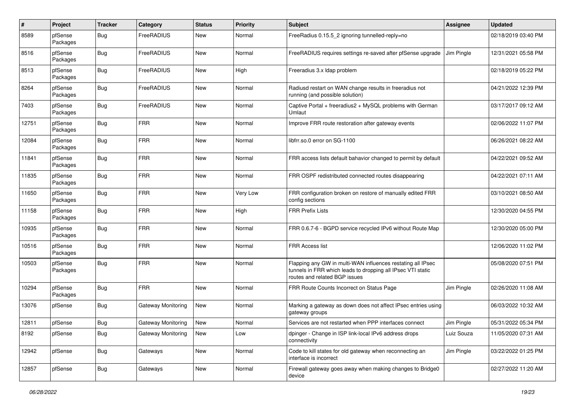| $\pmb{\#}$ | Project             | <b>Tracker</b> | Category                  | <b>Status</b> | <b>Priority</b> | Subject                                                                                                                                                     | <b>Assignee</b> | <b>Updated</b>      |
|------------|---------------------|----------------|---------------------------|---------------|-----------------|-------------------------------------------------------------------------------------------------------------------------------------------------------------|-----------------|---------------------|
| 8589       | pfSense<br>Packages | Bug            | FreeRADIUS                | New           | Normal          | FreeRadius 0.15.5 2 ignoring tunnelled-reply=no                                                                                                             |                 | 02/18/2019 03:40 PM |
| 8516       | pfSense<br>Packages | Bug            | FreeRADIUS                | <b>New</b>    | Normal          | FreeRADIUS requires settings re-saved after pfSense upgrade                                                                                                 | Jim Pingle      | 12/31/2021 05:58 PM |
| 8513       | pfSense<br>Packages | Bug            | FreeRADIUS                | <b>New</b>    | High            | Freeradius 3.x Idap problem                                                                                                                                 |                 | 02/18/2019 05:22 PM |
| 8264       | pfSense<br>Packages | Bug            | FreeRADIUS                | <b>New</b>    | Normal          | Radiusd restart on WAN change results in freeradius not<br>running (and possible solution)                                                                  |                 | 04/21/2022 12:39 PM |
| 7403       | pfSense<br>Packages | Bug            | FreeRADIUS                | <b>New</b>    | Normal          | Captive Portal + freeradius2 + MySQL problems with German<br>Umlaut                                                                                         |                 | 03/17/2017 09:12 AM |
| 12751      | pfSense<br>Packages | Bug            | <b>FRR</b>                | <b>New</b>    | Normal          | Improve FRR route restoration after gateway events                                                                                                          |                 | 02/06/2022 11:07 PM |
| 12084      | pfSense<br>Packages | Bug            | <b>FRR</b>                | New           | Normal          | libfrr.so.0 error on SG-1100                                                                                                                                |                 | 06/26/2021 08:22 AM |
| 11841      | pfSense<br>Packages | Bug            | <b>FRR</b>                | New           | Normal          | FRR access lists default bahavior changed to permit by default                                                                                              |                 | 04/22/2021 09:52 AM |
| 11835      | pfSense<br>Packages | Bug            | <b>FRR</b>                | New           | Normal          | FRR OSPF redistributed connected routes disappearing                                                                                                        |                 | 04/22/2021 07:11 AM |
| 11650      | pfSense<br>Packages | Bug            | <b>FRR</b>                | <b>New</b>    | Very Low        | FRR configuration broken on restore of manually edited FRR<br>config sections                                                                               |                 | 03/10/2021 08:50 AM |
| 11158      | pfSense<br>Packages | Bug            | <b>FRR</b>                | <b>New</b>    | High            | <b>FRR Prefix Lists</b>                                                                                                                                     |                 | 12/30/2020 04:55 PM |
| 10935      | pfSense<br>Packages | Bug            | <b>FRR</b>                | New           | Normal          | FRR 0.6.7-6 - BGPD service recycled IPv6 without Route Map                                                                                                  |                 | 12/30/2020 05:00 PM |
| 10516      | pfSense<br>Packages | Bug            | <b>FRR</b>                | New           | Normal          | <b>FRR Access list</b>                                                                                                                                      |                 | 12/06/2020 11:02 PM |
| 10503      | pfSense<br>Packages | Bug            | <b>FRR</b>                | <b>New</b>    | Normal          | Flapping any GW in multi-WAN influences restating all IPsec<br>tunnels in FRR which leads to dropping all IPsec VTI static<br>routes and related BGP issues |                 | 05/08/2020 07:51 PM |
| 10294      | pfSense<br>Packages | <b>Bug</b>     | <b>FRR</b>                | <b>New</b>    | Normal          | FRR Route Counts Incorrect on Status Page                                                                                                                   | Jim Pingle      | 02/26/2020 11:08 AM |
| 13076      | pfSense             | Bug            | <b>Gateway Monitoring</b> | New           | Normal          | Marking a gateway as down does not affect IPsec entries using<br>gateway groups                                                                             |                 | 06/03/2022 10:32 AM |
| 12811      | pfSense             | Bug            | Gateway Monitoring        | <b>New</b>    | Normal          | Services are not restarted when PPP interfaces connect                                                                                                      | Jim Pingle      | 05/31/2022 05:34 PM |
| 8192       | pfSense             | <b>Bug</b>     | Gateway Monitoring        | New           | Low             | dpinger - Change in ISP link-local IPv6 address drops<br>connectivity                                                                                       | Luiz Souza      | 11/05/2020 07:31 AM |
| 12942      | pfSense             | <b>Bug</b>     | Gateways                  | New           | Normal          | Code to kill states for old gateway when reconnecting an<br>interface is incorrect                                                                          | Jim Pingle      | 03/22/2022 01:25 PM |
| 12857      | pfSense             | <b>Bug</b>     | Gateways                  | New           | Normal          | Firewall gateway goes away when making changes to Bridge0<br>device                                                                                         |                 | 02/27/2022 11:20 AM |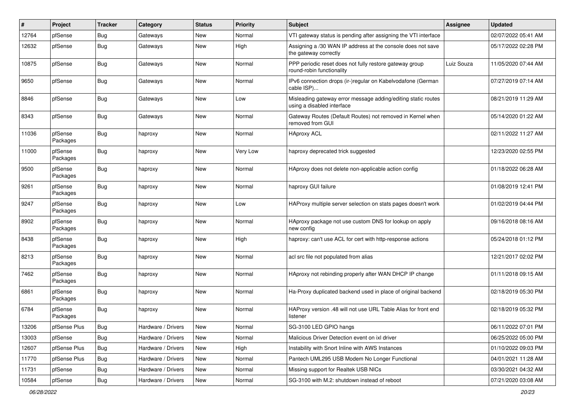| #     | Project             | <b>Tracker</b> | Category           | <b>Status</b> | <b>Priority</b> | Subject                                                                                     | Assignee   | <b>Updated</b>      |
|-------|---------------------|----------------|--------------------|---------------|-----------------|---------------------------------------------------------------------------------------------|------------|---------------------|
| 12764 | pfSense             | Bug            | Gateways           | <b>New</b>    | Normal          | VTI gateway status is pending after assigning the VTI interface                             |            | 02/07/2022 05:41 AM |
| 12632 | pfSense             | Bug            | Gateways           | <b>New</b>    | High            | Assigning a /30 WAN IP address at the console does not save<br>the gateway correctly        |            | 05/17/2022 02:28 PM |
| 10875 | pfSense             | Bug            | Gateways           | <b>New</b>    | Normal          | PPP periodic reset does not fully restore gateway group<br>round-robin functionality        | Luiz Souza | 11/05/2020 07:44 AM |
| 9650  | pfSense             | Bug            | Gateways           | <b>New</b>    | Normal          | IPv6 connection drops (ir-)regular on Kabelvodafone (German<br>cable ISP)                   |            | 07/27/2019 07:14 AM |
| 8846  | pfSense             | Bug            | Gateways           | New           | Low             | Misleading gateway error message adding/editing static routes<br>using a disabled interface |            | 08/21/2019 11:29 AM |
| 8343  | pfSense             | Bug            | Gateways           | <b>New</b>    | Normal          | Gateway Routes (Default Routes) not removed in Kernel when<br>removed from GUI              |            | 05/14/2020 01:22 AM |
| 11036 | pfSense<br>Packages | Bug            | haproxy            | <b>New</b>    | Normal          | <b>HAproxy ACL</b>                                                                          |            | 02/11/2022 11:27 AM |
| 11000 | pfSense<br>Packages | Bug            | haproxy            | <b>New</b>    | Very Low        | haproxy deprecated trick suggested                                                          |            | 12/23/2020 02:55 PM |
| 9500  | pfSense<br>Packages | Bug            | haproxy            | New           | Normal          | HAproxy does not delete non-applicable action config                                        |            | 01/18/2022 06:28 AM |
| 9261  | pfSense<br>Packages | Bug            | haproxy            | <b>New</b>    | Normal          | haproxy GUI failure                                                                         |            | 01/08/2019 12:41 PM |
| 9247  | pfSense<br>Packages | Bug            | haproxy            | <b>New</b>    | Low             | HAProxy multiple server selection on stats pages doesn't work                               |            | 01/02/2019 04:44 PM |
| 8902  | pfSense<br>Packages | <b>Bug</b>     | haproxy            | <b>New</b>    | Normal          | HAproxy package not use custom DNS for lookup on apply<br>new config                        |            | 09/16/2018 08:16 AM |
| 8438  | pfSense<br>Packages | Bug            | haproxy            | <b>New</b>    | High            | haproxy: can't use ACL for cert with http-response actions                                  |            | 05/24/2018 01:12 PM |
| 8213  | pfSense<br>Packages | Bug            | haproxy            | <b>New</b>    | Normal          | acl src file not populated from alias                                                       |            | 12/21/2017 02:02 PM |
| 7462  | pfSense<br>Packages | <b>Bug</b>     | haproxy            | <b>New</b>    | Normal          | HAproxy not rebinding properly after WAN DHCP IP change                                     |            | 01/11/2018 09:15 AM |
| 6861  | pfSense<br>Packages | <b>Bug</b>     | haproxy            | <b>New</b>    | Normal          | Ha-Proxy duplicated backend used in place of original backend                               |            | 02/18/2019 05:30 PM |
| 6784  | pfSense<br>Packages | Bug            | haproxy            | New           | Normal          | HAProxy version .48 will not use URL Table Alias for front end<br>listener                  |            | 02/18/2019 05:32 PM |
| 13206 | pfSense Plus        | <b>Bug</b>     | Hardware / Drivers | New           | Normal          | SG-3100 LED GPIO hangs                                                                      |            | 06/11/2022 07:01 PM |
| 13003 | pfSense             | Bug            | Hardware / Drivers | New           | Normal          | Malicious Driver Detection event on ixl driver                                              |            | 06/25/2022 05:00 PM |
| 12607 | pfSense Plus        | <b>Bug</b>     | Hardware / Drivers | New           | High            | Instability with Snort Inline with AWS Instances                                            |            | 01/10/2022 09:03 PM |
| 11770 | pfSense Plus        | Bug            | Hardware / Drivers | New           | Normal          | Pantech UML295 USB Modem No Longer Functional                                               |            | 04/01/2021 11:28 AM |
| 11731 | pfSense             | <b>Bug</b>     | Hardware / Drivers | New           | Normal          | Missing support for Realtek USB NICs                                                        |            | 03/30/2021 04:32 AM |
| 10584 | pfSense             | Bug            | Hardware / Drivers | New           | Normal          | SG-3100 with M.2: shutdown instead of reboot                                                |            | 07/21/2020 03:08 AM |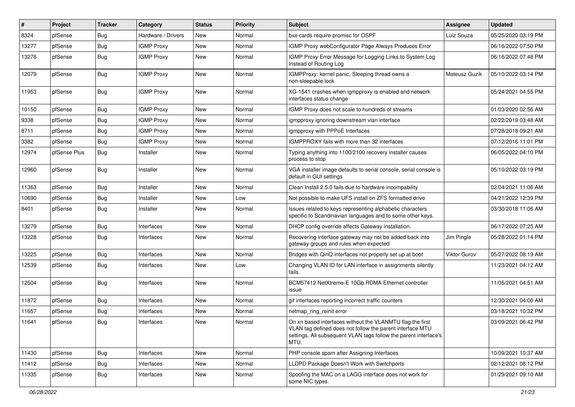| $\vert$ # | Project      | <b>Tracker</b> | Category           | <b>Status</b> | <b>Priority</b> | Subject                                                                                                                                                                                            | Assignee      | <b>Updated</b>      |
|-----------|--------------|----------------|--------------------|---------------|-----------------|----------------------------------------------------------------------------------------------------------------------------------------------------------------------------------------------------|---------------|---------------------|
| 8324      | pfSense      | Bug            | Hardware / Drivers | New           | Normal          | bxe cards require promisc for OSPF                                                                                                                                                                 | Luiz Souza    | 05/25/2020 03:19 PM |
| 13277     | pfSense      | Bug            | <b>IGMP Proxy</b>  | <b>New</b>    | Normal          | IGMP Proxy webConfigurator Page Always Produces Error                                                                                                                                              |               | 06/16/2022 07:50 PM |
| 13276     | pfSense      | Bug            | <b>IGMP Proxy</b>  | New           | Normal          | IGMP Proxy Error Message for Logging Links to System Log<br>Instead of Routing Log                                                                                                                 |               | 06/16/2022 07:48 PM |
| 12079     | pfSense      | <b>Bug</b>     | <b>IGMP Proxy</b>  | New           | Normal          | IGMPProxy: kernel panic, Sleeping thread owns a<br>non-sleepable lock                                                                                                                              | Mateusz Guzik | 05/10/2022 03:14 PM |
| 11953     | pfSense      | Bug            | <b>IGMP Proxy</b>  | New           | Normal          | XG-1541 crashes when igmpproxy is enabled and network<br>interfaces status change                                                                                                                  |               | 05/24/2021 04:55 PM |
| 10150     | pfSense      | Bug            | <b>IGMP Proxy</b>  | <b>New</b>    | Normal          | IGMP Proxy does not scale to hundreds of streams                                                                                                                                                   |               | 01/03/2020 02:56 AM |
| 9338      | pfSense      | Bug            | <b>IGMP Proxy</b>  | <b>New</b>    | Normal          | igmpproxy ignoring downstream vlan interface                                                                                                                                                       |               | 02/22/2019 03:48 AM |
| 8711      | pfSense      | Bug            | <b>IGMP Proxy</b>  | New           | Normal          | igmpproxy with PPPoE Interfaces                                                                                                                                                                    |               | 07/28/2018 09:21 AM |
| 3382      | pfSense      | Bug            | <b>IGMP Proxy</b>  | <b>New</b>    | Normal          | IGMPPROXY fails with more than 32 interfaces                                                                                                                                                       |               | 07/12/2016 11:01 PM |
| 12974     | pfSense Plus | <b>Bug</b>     | Installer          | New           | Normal          | Typing anything into 1100/2100 recovery installer causes<br>process to stop                                                                                                                        |               | 06/05/2022 04:10 PM |
| 12960     | pfSense      | Bug            | Installer          | New           | Normal          | VGA installer image defaults to serial console, serial console is<br>default in GUI settings                                                                                                       |               | 05/10/2022 03:19 PM |
| 11363     | pfSense      | Bug            | Installer          | New           | Normal          | Clean Install 2.5.0 fails due to hardware incompability                                                                                                                                            |               | 02/04/2021 11:06 AM |
| 10690     | pfSense      | Bug            | Installer          | <b>New</b>    | Low             | Not possible to make UFS install on ZFS formatted drive                                                                                                                                            |               | 04/21/2022 12:39 PM |
| 8401      | pfSense      | Bug            | Installer          | New           | Normal          | Issues related to keys representing alphabetic characters<br>specific to Scandinavian languages and to some other keys.                                                                            |               | 03/30/2018 11:06 AM |
| 13279     | pfSense      | <b>Bug</b>     | Interfaces         | <b>New</b>    | Normal          | DHCP config override affects Gateway installation.                                                                                                                                                 |               | 06/17/2022 07:25 AM |
| 13228     | pfSense      | Bug            | Interfaces         | New           | Normal          | Recovering interface gateway may not be added back into<br>gateway groups and rules when expected                                                                                                  | Jim Pingle    | 05/28/2022 01:14 PM |
| 13225     | pfSense      | Bug            | Interfaces         | <b>New</b>    | Normal          | Bridges with QinQ interfaces not properly set up at boot                                                                                                                                           | Viktor Gurov  | 05/27/2022 08:19 AM |
| 12539     | pfSense      | Bug            | Interfaces         | New           | Low             | Changing VLAN ID for LAN interface in assignments silently<br>fails.                                                                                                                               |               | 11/23/2021 04:12 AM |
| 12504     | pfSense      | Bug            | Interfaces         | <b>New</b>    | Normal          | BCM57412 NetXtreme-E 10Gb RDMA Ethernet controller<br>issue                                                                                                                                        |               | 11/05/2021 04:51 AM |
| 11872     | pfSense      | <b>Bug</b>     | Interfaces         | <b>New</b>    | Normal          | gif interfaces reporting incorrect traffic counters                                                                                                                                                |               | 12/30/2021 04:00 AM |
| 11657     | pfSense      | Bug            | Interfaces         | New           | Normal          | netmap_ring_reinit error                                                                                                                                                                           |               | 03/18/2021 10:32 PM |
| 11641     | pfSense      | <b>Bug</b>     | Interfaces         | New           | Normal          | On xn based interfaces without the VLANMTU flag the first<br>VLAN tag defined does not follow the parent interface MTU<br>settings. All subsequent VLAN tags follow the parent interface's<br>MTU. |               | 03/09/2021 06:42 PM |
| 11430     | pfSense      | Bug            | Interfaces         | New           | Normal          | PHP console spam after Assigning Interfaces                                                                                                                                                        |               | 10/09/2021 10:37 AM |
| 11412     | pfSense      | <b>Bug</b>     | Interfaces         | New           | Normal          | LLDPD Package Doesn't Work with Switchports                                                                                                                                                        |               | 02/12/2021 08:12 PM |
| 11335     | pfSense      | <b>Bug</b>     | Interfaces         | New           | Normal          | Spoofing the MAC on a LAGG interface does not work for<br>some NIC types.                                                                                                                          |               | 01/29/2021 09:10 AM |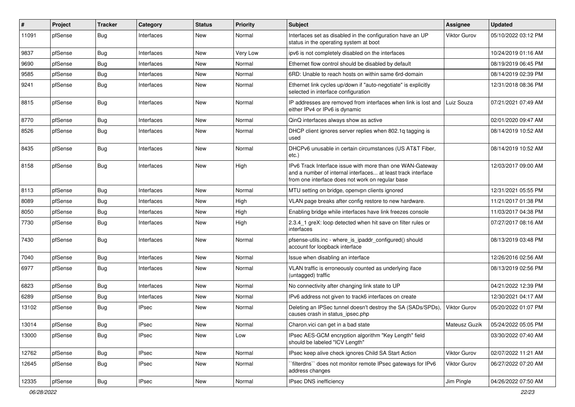| #     | Project | <b>Tracker</b> | Category     | <b>Status</b> | <b>Priority</b> | Subject                                                                                                                                                                       | <b>Assignee</b> | <b>Updated</b>      |
|-------|---------|----------------|--------------|---------------|-----------------|-------------------------------------------------------------------------------------------------------------------------------------------------------------------------------|-----------------|---------------------|
| 11091 | pfSense | Bug            | Interfaces   | New           | Normal          | Interfaces set as disabled in the configuration have an UP<br>status in the operating system at boot                                                                          | Viktor Gurov    | 05/10/2022 03:12 PM |
| 9837  | pfSense | Bug            | Interfaces   | <b>New</b>    | Very Low        | ipv6 is not completely disabled on the interfaces                                                                                                                             |                 | 10/24/2019 01:16 AM |
| 9690  | pfSense | Bug            | Interfaces   | New           | Normal          | Ethernet flow control should be disabled by default                                                                                                                           |                 | 08/19/2019 06:45 PM |
| 9585  | pfSense | Bug            | Interfaces   | <b>New</b>    | Normal          | 6RD: Unable to reach hosts on within same 6rd-domain                                                                                                                          |                 | 08/14/2019 02:39 PM |
| 9241  | pfSense | Bug            | Interfaces   | New           | Normal          | Ethernet link cycles up/down if "auto-negotiate" is explicitly<br>selected in interface configuration                                                                         |                 | 12/31/2018 08:36 PM |
| 8815  | pfSense | Bug            | Interfaces   | <b>New</b>    | Normal          | IP addresses are removed from interfaces when link is lost and<br>either IPv4 or IPv6 is dynamic                                                                              | Luiz Souza      | 07/21/2021 07:49 AM |
| 8770  | pfSense | Bug            | Interfaces   | <b>New</b>    | Normal          | QinQ interfaces always show as active                                                                                                                                         |                 | 02/01/2020 09:47 AM |
| 8526  | pfSense | Bug            | Interfaces   | <b>New</b>    | Normal          | DHCP client ignores server replies when 802.1q tagging is<br>used                                                                                                             |                 | 08/14/2019 10:52 AM |
| 8435  | pfSense | Bug            | Interfaces   | <b>New</b>    | Normal          | DHCPv6 unusable in certain circumstances (US AT&T Fiber,<br>etc.)                                                                                                             |                 | 08/14/2019 10:52 AM |
| 8158  | pfSense | Bug            | Interfaces   | <b>New</b>    | High            | IPv6 Track Interface issue with more than one WAN-Gateway<br>and a number of internal interfaces at least track interface<br>from one interface does not work on regular base |                 | 12/03/2017 09:00 AM |
| 8113  | pfSense | Bug            | Interfaces   | <b>New</b>    | Normal          | MTU setting on bridge, openvpn clients ignored                                                                                                                                |                 | 12/31/2021 05:55 PM |
| 8089  | pfSense | Bug            | Interfaces   | <b>New</b>    | High            | VLAN page breaks after config restore to new hardware.                                                                                                                        |                 | 11/21/2017 01:38 PM |
| 8050  | pfSense | Bug            | Interfaces   | New           | High            | Enabling bridge while interfaces have link freezes console                                                                                                                    |                 | 11/03/2017 04:38 PM |
| 7730  | pfSense | Bug            | Interfaces   | New           | High            | 2.3.4_1 greX: loop detected when hit save on filter rules or<br>interfaces                                                                                                    |                 | 07/27/2017 08:16 AM |
| 7430  | pfSense | Bug            | Interfaces   | <b>New</b>    | Normal          | pfsense-utils.inc - where_is_ipaddr_configured() should<br>account for loopback interface                                                                                     |                 | 08/13/2019 03:48 PM |
| 7040  | pfSense | Bug            | Interfaces   | <b>New</b>    | Normal          | Issue when disabling an interface                                                                                                                                             |                 | 12/26/2016 02:56 AM |
| 6977  | pfSense | Bug            | Interfaces   | <b>New</b>    | Normal          | VLAN traffic is erroneously counted as underlying iface<br>(untagged) traffic                                                                                                 |                 | 08/13/2019 02:56 PM |
| 6823  | pfSense | Bug            | Interfaces   | <b>New</b>    | Normal          | No connectivity after changing link state to UP                                                                                                                               |                 | 04/21/2022 12:39 PM |
| 6289  | pfSense | Bug            | Interfaces   | New           | Normal          | IPv6 address not given to track6 interfaces on create                                                                                                                         |                 | 12/30/2021 04:17 AM |
| 13102 | pfSense | Bug            | <b>IPsec</b> | <b>New</b>    | Normal          | Deleting an IPSec tunnel doesn't destroy the SA (SADs/SPDs),<br>causes crash in status_ipsec.php                                                                              | Viktor Gurov    | 05/20/2022 01:07 PM |
| 13014 | pfSense | <b>Bug</b>     | <b>IPsec</b> | New           | Normal          | Charon.vici can get in a bad state                                                                                                                                            | Mateusz Guzik   | 05/24/2022 05:05 PM |
| 13000 | pfSense | Bug            | <b>IPsec</b> | New           | Low             | IPsec AES-GCM encryption algorithm "Key Length" field<br>should be labeled "ICV Length"                                                                                       |                 | 03/30/2022 07:40 AM |
| 12762 | pfSense | Bug            | <b>IPsec</b> | New           | Normal          | IPsec keep alive check ignores Child SA Start Action                                                                                                                          | Viktor Gurov    | 02/07/2022 11:21 AM |
| 12645 | pfSense | Bug            | <b>IPsec</b> | New           | Normal          | `filterdns`` does not monitor remote IPsec gateways for IPv6<br>address changes                                                                                               | Viktor Gurov    | 06/27/2022 07:20 AM |
| 12335 | pfSense | Bug            | IPsec        | New           | Normal          | IPsec DNS inefficiency                                                                                                                                                        | Jim Pingle      | 04/26/2022 07:50 AM |